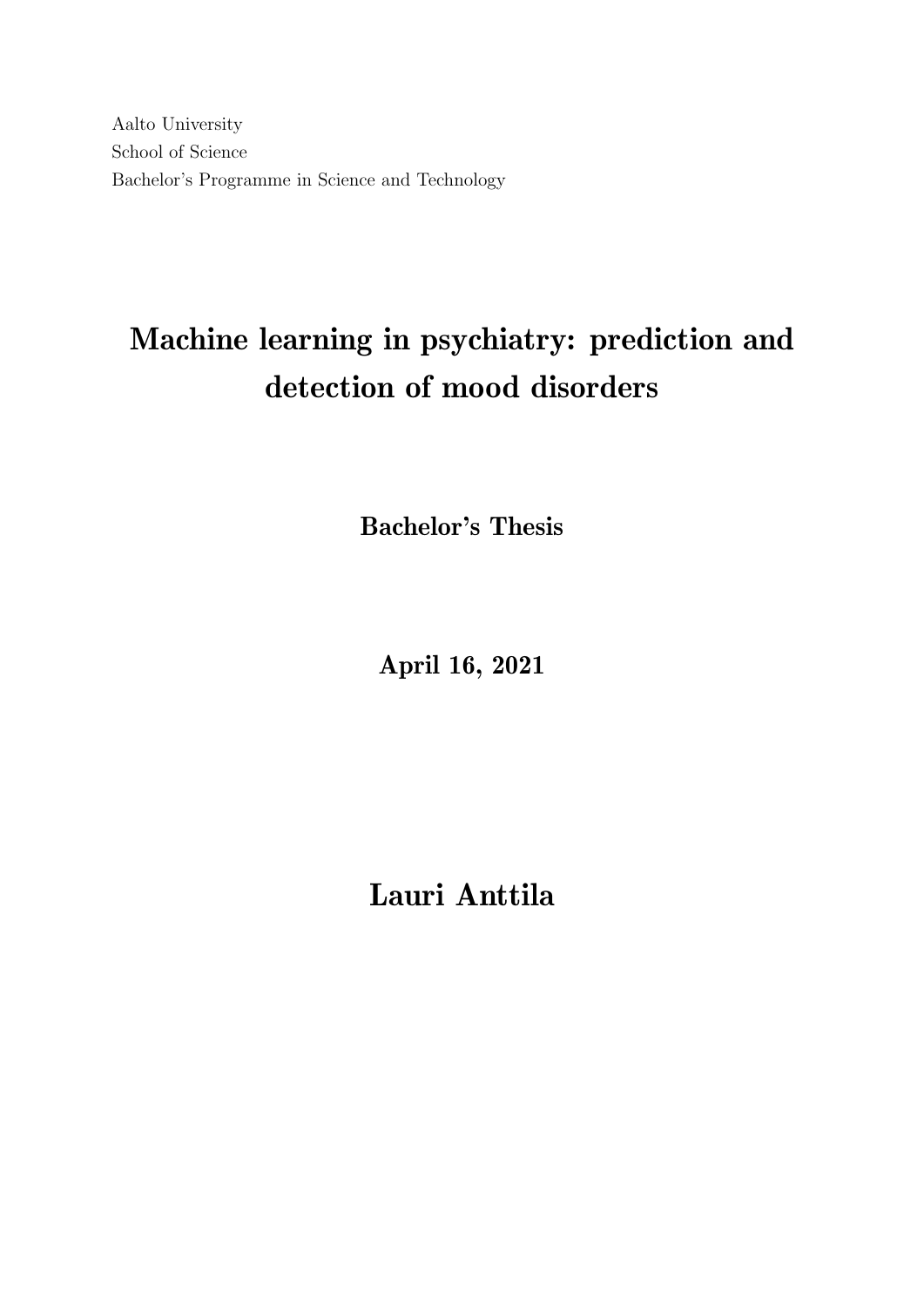Aalto University School of Science Bachelor's Programme in Science and Technology

# Machine learning in psychiatry: prediction and detection of mood disorders

Bachelor's Thesis

April 16, 2021

Lauri Anttila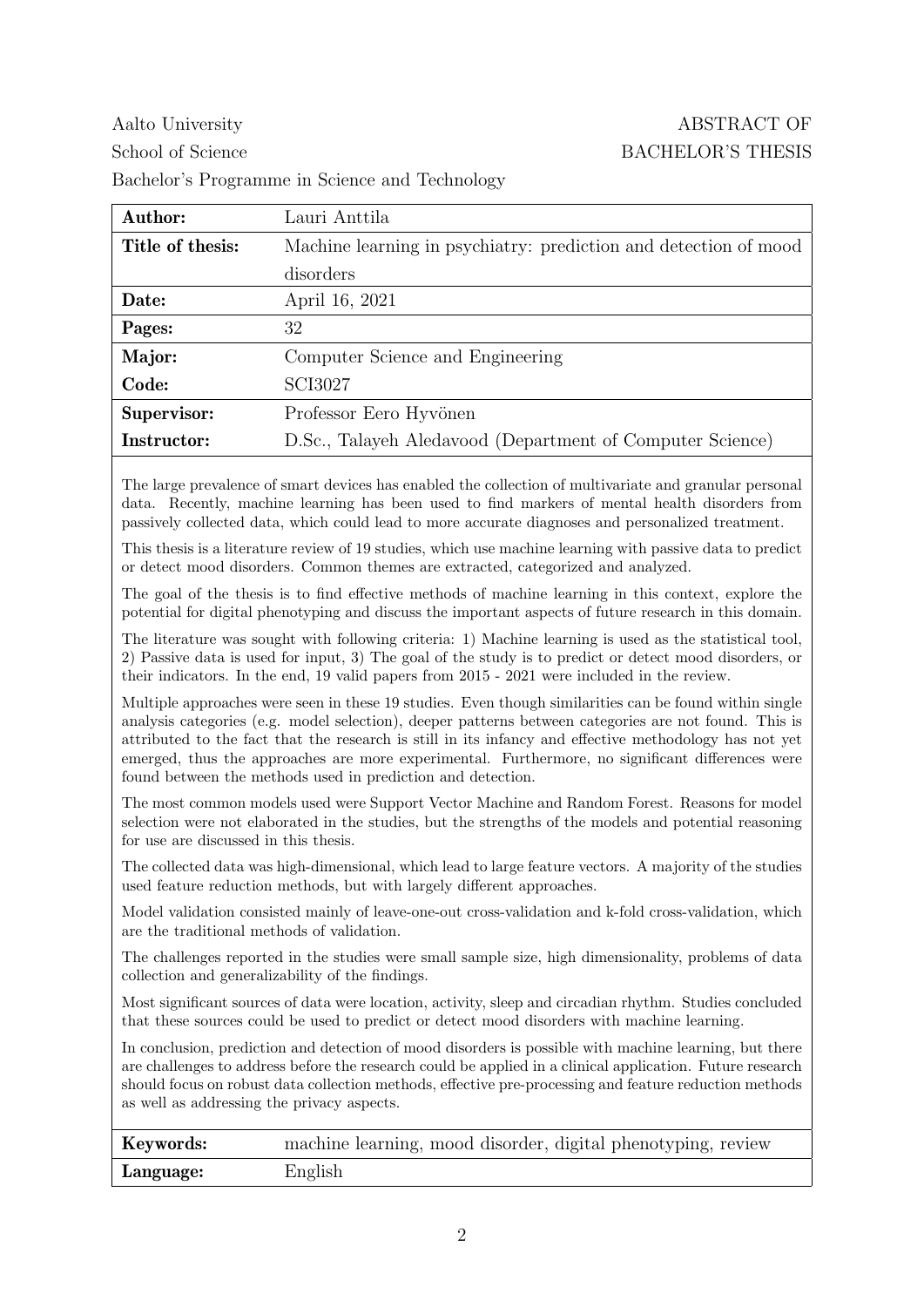## Aalto University ABSTRACT OF School of Science **BACHELOR'S THESIS**

Bachelor's Programme in Science and Technology

| Author:          | Lauri Anttila                                                    |  |
|------------------|------------------------------------------------------------------|--|
| Title of thesis: | Machine learning in psychiatry: prediction and detection of mood |  |
|                  | disorders                                                        |  |
| Date:            | April 16, 2021                                                   |  |
| Pages:           | 32                                                               |  |
| Major:           | Computer Science and Engineering                                 |  |
| Code:            | SCI3027                                                          |  |
| Supervisor:      | Professor Eero Hyvönen                                           |  |
| Instructor:      | D.Sc., Talayeh Aledavood (Department of Computer Science)        |  |

The large prevalence of smart devices has enabled the collection of multivariate and granular personal data. Recently, machine learning has been used to find markers of mental health disorders from passively collected data, which could lead to more accurate diagnoses and personalized treatment.

This thesis is a literature review of 19 studies, which use machine learning with passive data to predict or detect mood disorders. Common themes are extracted, categorized and analyzed.

The goal of the thesis is to find effective methods of machine learning in this context, explore the potential for digital phenotyping and discuss the important aspects of future research in this domain.

The literature was sought with following criteria: 1) Machine learning is used as the statistical tool, 2) Passive data is used for input, 3) The goal of the study is to predict or detect mood disorders, or their indicators. In the end, 19 valid papers from 2015 - 2021 were included in the review.

Multiple approaches were seen in these 19 studies. Even though similarities can be found within single analysis categories (e.g. model selection), deeper patterns between categories are not found. This is attributed to the fact that the research is still in its infancy and effective methodology has not yet emerged, thus the approaches are more experimental. Furthermore, no significant differences were found between the methods used in prediction and detection.

The most common models used were Support Vector Machine and Random Forest. Reasons for model selection were not elaborated in the studies, but the strengths of the models and potential reasoning for use are discussed in this thesis.

The collected data was high-dimensional, which lead to large feature vectors. A majority of the studies used feature reduction methods, but with largely different approaches.

Model validation consisted mainly of leave-one-out cross-validation and k-fold cross-validation, which are the traditional methods of validation.

The challenges reported in the studies were small sample size, high dimensionality, problems of data collection and generalizability of the findings.

Most significant sources of data were location, activity, sleep and circadian rhythm. Studies concluded that these sources could be used to predict or detect mood disorders with machine learning.

In conclusion, prediction and detection of mood disorders is possible with machine learning, but there are challenges to address before the research could be applied in a clinical application. Future research should focus on robust data collection methods, effective pre-processing and feature reduction methods as well as addressing the privacy aspects.

| Keywords: | machine learning, mood disorder, digital phenotyping, review |
|-----------|--------------------------------------------------------------|
| Language: | English                                                      |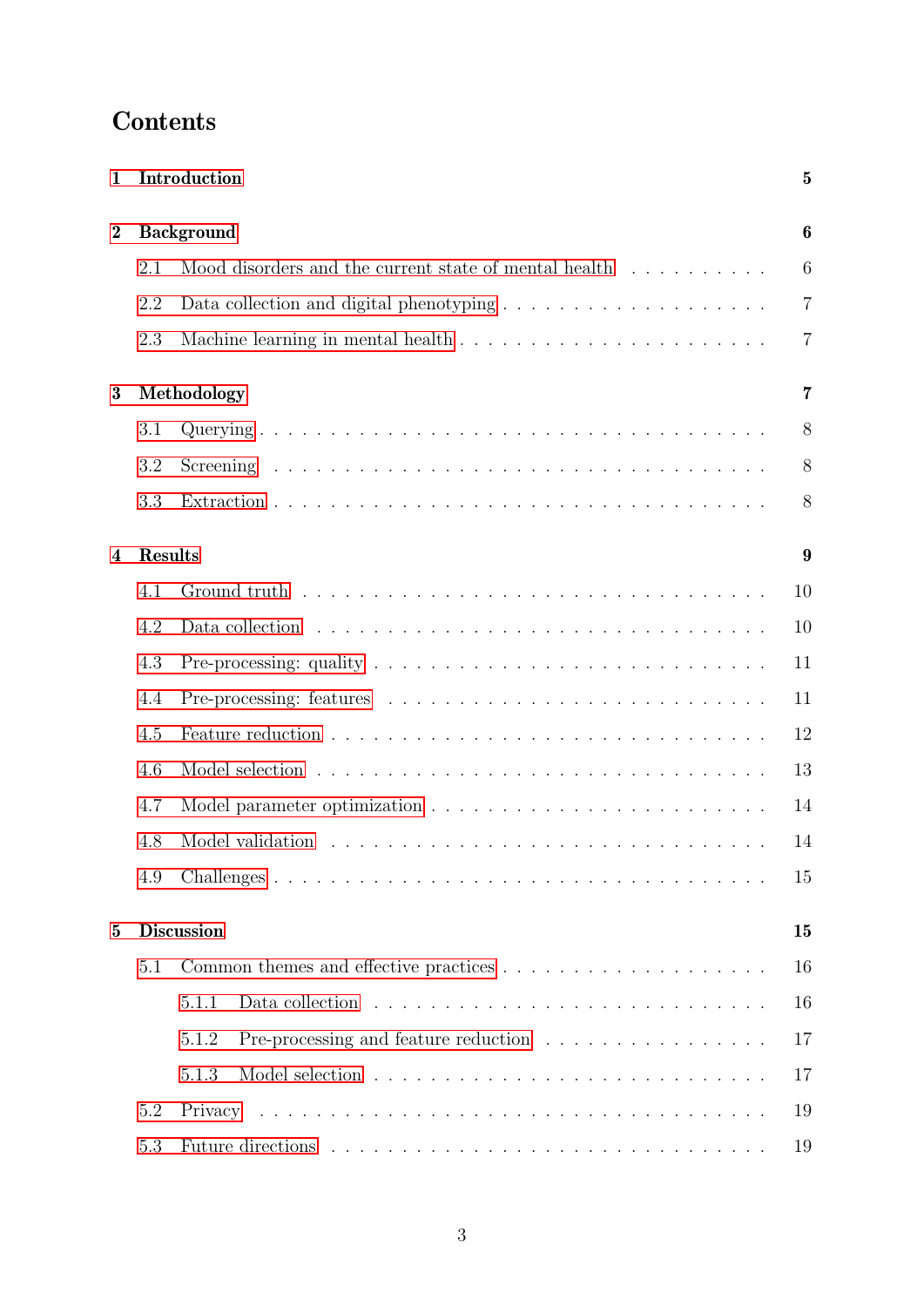| <b>Contents</b> |
|-----------------|
|-----------------|

| Introduction<br>$\mathbf{1}$ |                | $\bf{5}$                                                                                  |                  |
|------------------------------|----------------|-------------------------------------------------------------------------------------------|------------------|
| $\bf{2}$                     |                | <b>Background</b>                                                                         | $\boldsymbol{6}$ |
|                              | 2.1            | Mood disorders and the current state of mental health                                     | 6                |
|                              | 2.2            | Data collection and digital phenotyping $\ldots \ldots \ldots \ldots \ldots \ldots$       | $\overline{7}$   |
|                              | 2.3            |                                                                                           | $\overline{7}$   |
| $\bf{3}$                     |                | Methodology                                                                               | $\overline{7}$   |
|                              | 3.1            |                                                                                           | 8                |
|                              | 3.2            |                                                                                           | 8                |
|                              | 3.3            |                                                                                           | 8                |
| 4                            | <b>Results</b> |                                                                                           | 9                |
|                              | 4.1            |                                                                                           | 10               |
|                              | 4.2            |                                                                                           | 10               |
|                              | 4.3            |                                                                                           | 11               |
|                              | 4.4            |                                                                                           | 11               |
|                              | 4.5            |                                                                                           | 12               |
|                              | 4.6            |                                                                                           | 13               |
|                              | 4.7            |                                                                                           | 14               |
|                              | 4.8            |                                                                                           | 14               |
|                              | 4.9            |                                                                                           | 15               |
| $\bf{5}$                     |                | <b>Discussion</b>                                                                         | 15               |
|                              | 5.1            |                                                                                           | 16               |
|                              |                | 5.1.1<br>Data collection $\ldots \ldots \ldots \ldots \ldots \ldots \ldots \ldots \ldots$ | 16               |
|                              |                | 5.1.2<br>Pre-processing and feature reduction                                             | 17               |
|                              |                | 5.1.3                                                                                     | 17               |
|                              | 5.2            |                                                                                           | 19               |
|                              | 5.3            |                                                                                           | 19               |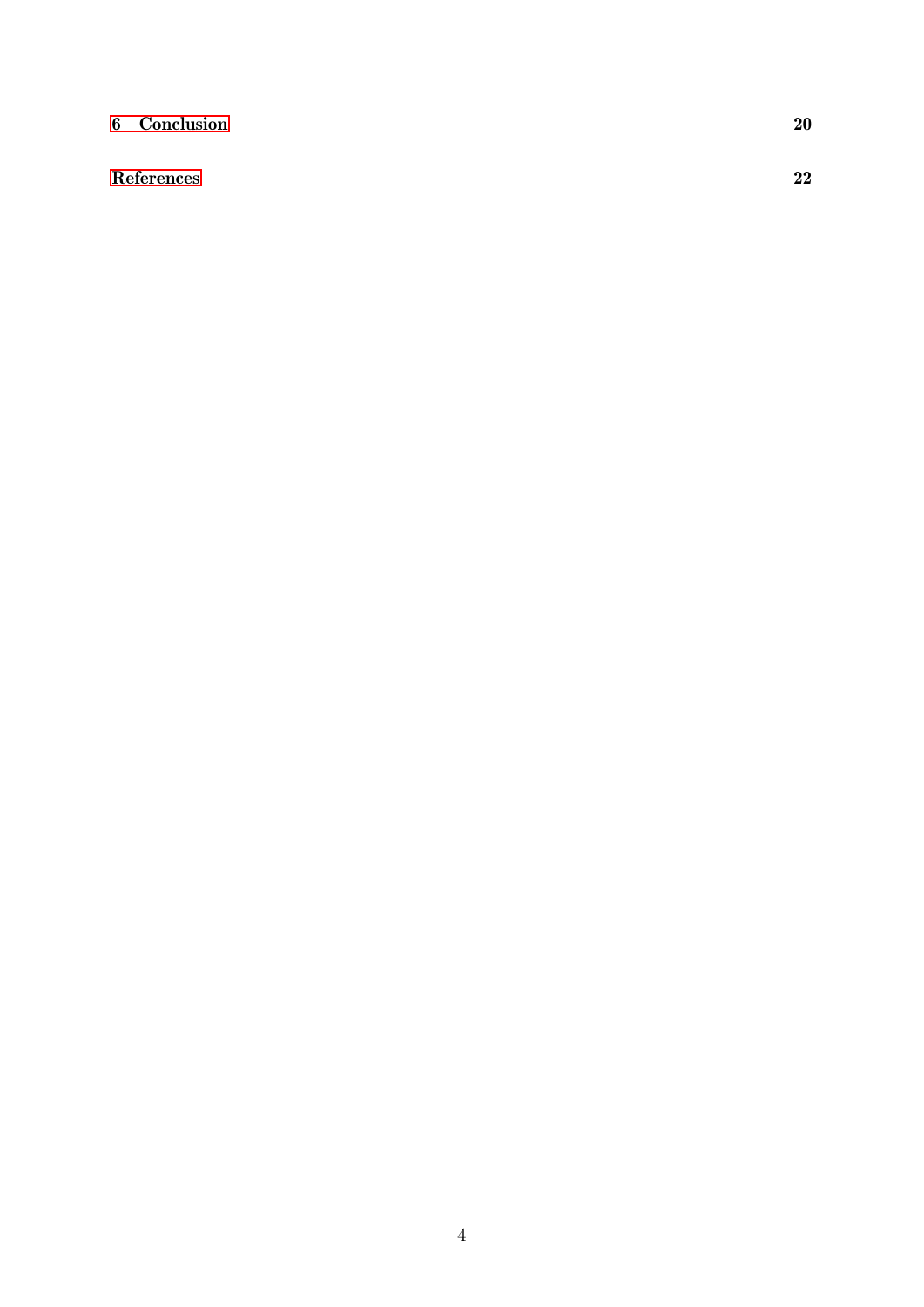## [6 Conclusion](#page-19-0) 20

#### [References](#page-19-0) 22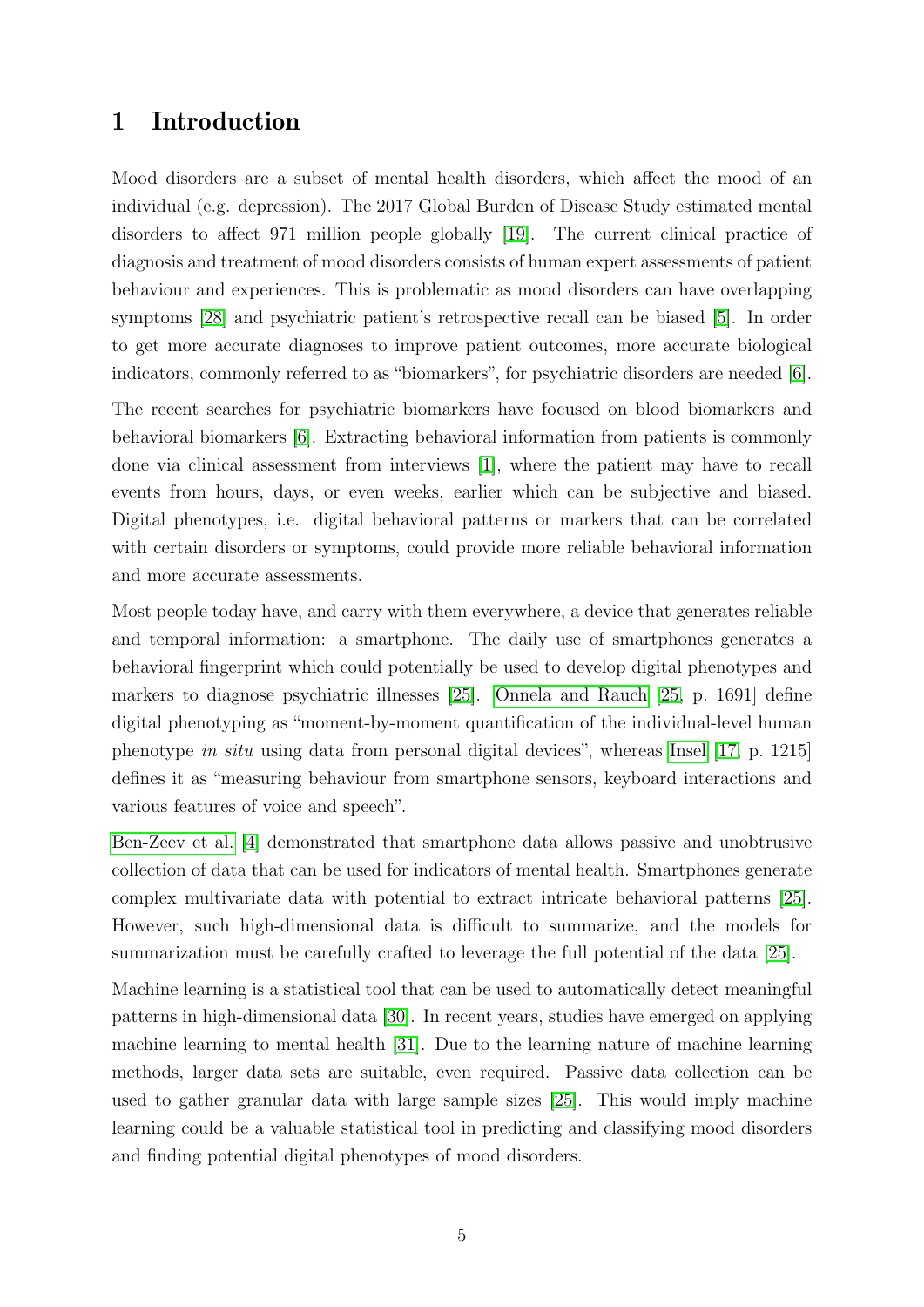## <span id="page-4-0"></span>1 Introduction

Mood disorders are a subset of mental health disorders, which affect the mood of an individual (e.g. depression). The 2017 Global Burden of Disease Study estimated mental disorders to affect 971 million people globally [\[19\]](#page-23-0). The current clinical practice of diagnosis and treatment of mood disorders consists of human expert assessments of patient behaviour and experiences. This is problematic as mood disorders can have overlapping symptoms [\[28\]](#page-30-0) and psychiatric patient's retrospective recall can be biased [\[5\]](#page-21-0). In order to get more accurate diagnoses to improve patient outcomes, more accurate biological indicators, commonly referred to as "biomarkers", for psychiatric disorders are needed [\[6\]](#page-21-1).

The recent searches for psychiatric biomarkers have focused on blood biomarkers and behavioral biomarkers [\[6\]](#page-21-1). Extracting behavioral information from patients is commonly done via clinical assessment from interviews [\[1\]](#page-21-2), where the patient may have to recall events from hours, days, or even weeks, earlier which can be subjective and biased. Digital phenotypes, i.e. digital behavioral patterns or markers that can be correlated with certain disorders or symptoms, could provide more reliable behavioral information and more accurate assessments.

Most people today have, and carry with them everywhere, a device that generates reliable and temporal information: a smartphone. The daily use of smartphones generates a behavioral fingerprint which could potentially be used to develop digital phenotypes and markers to diagnose psychiatric illnesses [\[25\]](#page-30-1). [Onnela and Rauch](#page-30-1) [\[25,](#page-30-1) p. 1691] define digital phenotyping as "moment-by-moment quantification of the individual-level human phenotype in situ using data from personal digital devices", whereas [Insel](#page-23-1) [\[17,](#page-23-1) p. 1215] defines it as "measuring behaviour from smartphone sensors, keyboard interactions and various features of voice and speech".

[Ben-Zeev et al.](#page-21-3) [\[4\]](#page-21-3) demonstrated that smartphone data allows passive and unobtrusive collection of data that can be used for indicators of mental health. Smartphones generate complex multivariate data with potential to extract intricate behavioral patterns [\[25\]](#page-30-1). However, such high-dimensional data is difficult to summarize, and the models for summarization must be carefully crafted to leverage the full potential of the data [\[25\]](#page-30-1).

Machine learning is a statistical tool that can be used to automatically detect meaningful patterns in high-dimensional data [\[30\]](#page-31-0). In recent years, studies have emerged on applying machine learning to mental health [\[31\]](#page-31-1). Due to the learning nature of machine learning methods, larger data sets are suitable, even required. Passive data collection can be used to gather granular data with large sample sizes [\[25\]](#page-30-1). This would imply machine learning could be a valuable statistical tool in predicting and classifying mood disorders and finding potential digital phenotypes of mood disorders.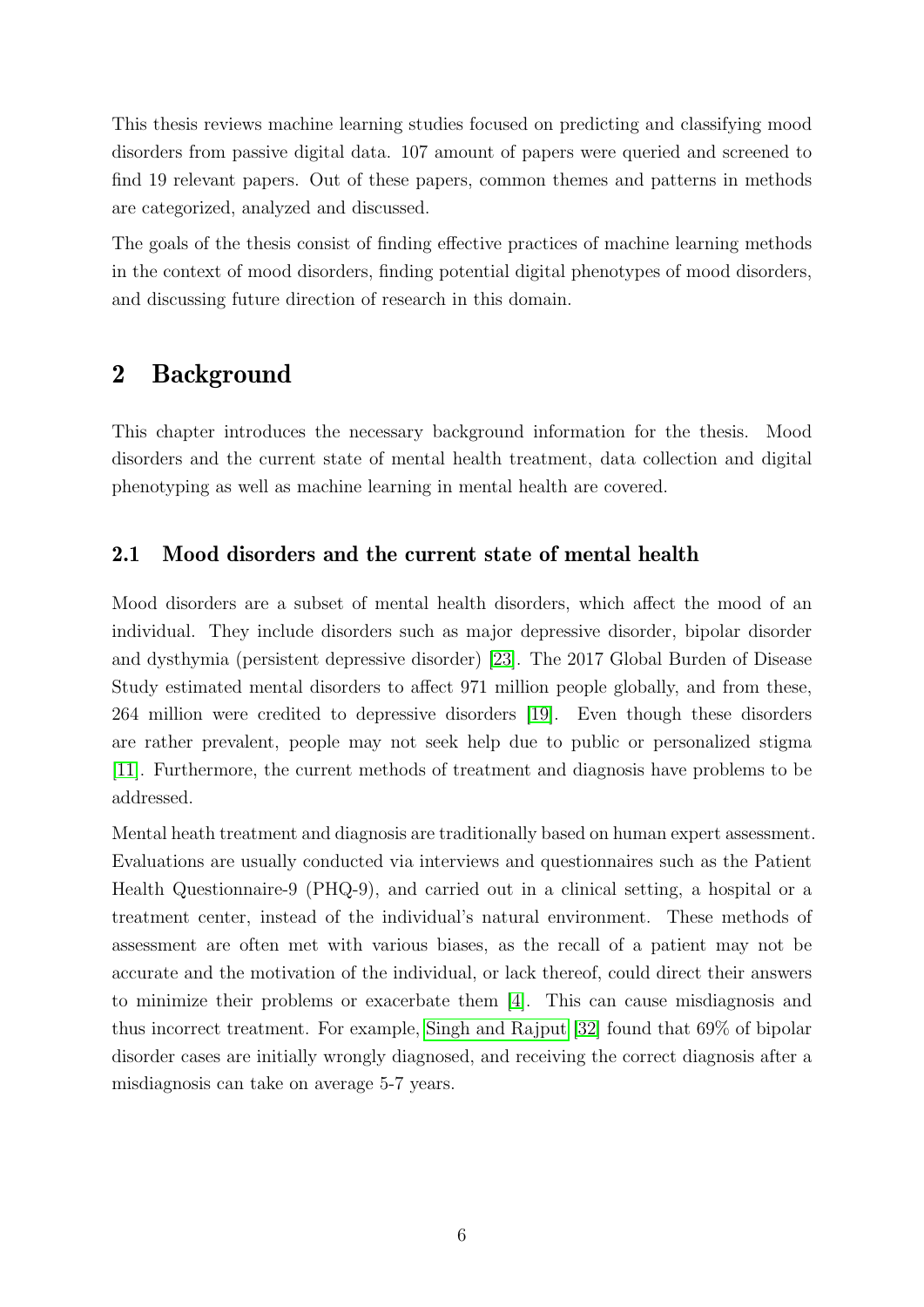This thesis reviews machine learning studies focused on predicting and classifying mood disorders from passive digital data. 107 amount of papers were queried and screened to find 19 relevant papers. Out of these papers, common themes and patterns in methods are categorized, analyzed and discussed.

The goals of the thesis consist of finding effective practices of machine learning methods in the context of mood disorders, finding potential digital phenotypes of mood disorders, and discussing future direction of research in this domain.

## <span id="page-5-0"></span>2 Background

This chapter introduces the necessary background information for the thesis. Mood disorders and the current state of mental health treatment, data collection and digital phenotyping as well as machine learning in mental health are covered.

#### <span id="page-5-1"></span>2.1 Mood disorders and the current state of mental health

Mood disorders are a subset of mental health disorders, which affect the mood of an individual. They include disorders such as major depressive disorder, bipolar disorder and dysthymia (persistent depressive disorder) [\[23\]](#page-30-2). The 2017 Global Burden of Disease Study estimated mental disorders to affect 971 million people globally, and from these, 264 million were credited to depressive disorders [\[19\]](#page-23-0). Even though these disorders are rather prevalent, people may not seek help due to public or personalized stigma [\[11\]](#page-22-0). Furthermore, the current methods of treatment and diagnosis have problems to be addressed.

Mental heath treatment and diagnosis are traditionally based on human expert assessment. Evaluations are usually conducted via interviews and questionnaires such as the Patient Health Questionnaire-9 (PHQ-9), and carried out in a clinical setting, a hospital or a treatment center, instead of the individual's natural environment. These methods of assessment are often met with various biases, as the recall of a patient may not be accurate and the motivation of the individual, or lack thereof, could direct their answers to minimize their problems or exacerbate them [\[4\]](#page-21-3). This can cause misdiagnosis and thus incorrect treatment. For example, [Singh and Rajput](#page-31-2) [\[32\]](#page-31-2) found that 69% of bipolar disorder cases are initially wrongly diagnosed, and receiving the correct diagnosis after a misdiagnosis can take on average 5-7 years.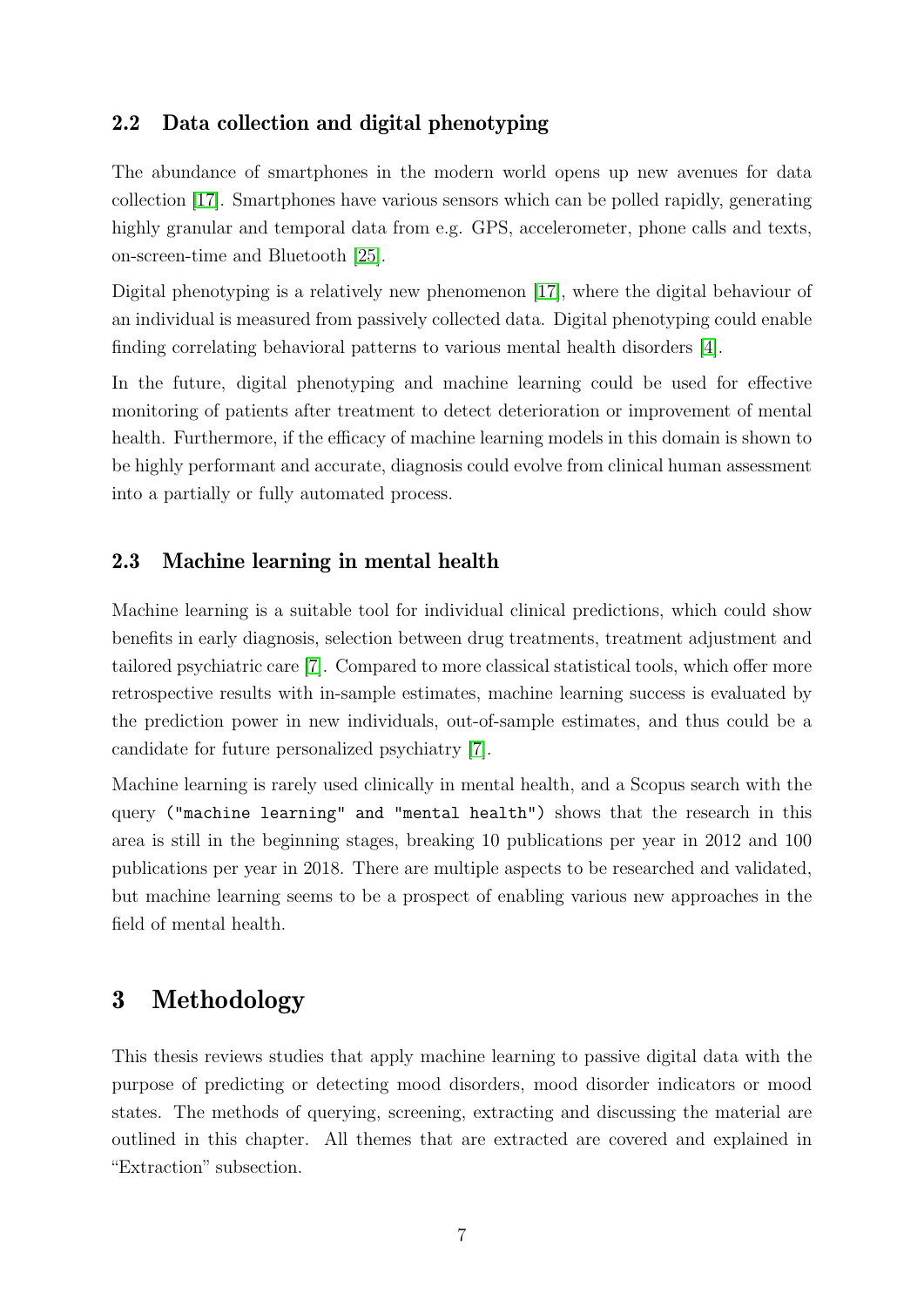#### <span id="page-6-0"></span>2.2 Data collection and digital phenotyping

The abundance of smartphones in the modern world opens up new avenues for data collection [\[17\]](#page-23-1). Smartphones have various sensors which can be polled rapidly, generating highly granular and temporal data from e.g. GPS, accelerometer, phone calls and texts, on-screen-time and Bluetooth [\[25\]](#page-30-1).

Digital phenotyping is a relatively new phenomenon [\[17\]](#page-23-1), where the digital behaviour of an individual is measured from passively collected data. Digital phenotyping could enable finding correlating behavioral patterns to various mental health disorders [\[4\]](#page-21-3).

In the future, digital phenotyping and machine learning could be used for effective monitoring of patients after treatment to detect deterioration or improvement of mental health. Furthermore, if the efficacy of machine learning models in this domain is shown to be highly performant and accurate, diagnosis could evolve from clinical human assessment into a partially or fully automated process.

#### <span id="page-6-1"></span>2.3 Machine learning in mental health

Machine learning is a suitable tool for individual clinical predictions, which could show benefits in early diagnosis, selection between drug treatments, treatment adjustment and tailored psychiatric care [\[7\]](#page-21-4). Compared to more classical statistical tools, which offer more retrospective results with in-sample estimates, machine learning success is evaluated by the prediction power in new individuals, out-of-sample estimates, and thus could be a candidate for future personalized psychiatry [\[7\]](#page-21-4).

Machine learning is rarely used clinically in mental health, and a Scopus search with the query ("machine learning" and "mental health") shows that the research in this area is still in the beginning stages, breaking 10 publications per year in 2012 and 100 publications per year in 2018. There are multiple aspects to be researched and validated, but machine learning seems to be a prospect of enabling various new approaches in the field of mental health.

## <span id="page-6-2"></span>3 Methodology

This thesis reviews studies that apply machine learning to passive digital data with the purpose of predicting or detecting mood disorders, mood disorder indicators or mood states. The methods of querying, screening, extracting and discussing the material are outlined in this chapter. All themes that are extracted are covered and explained in "Extraction" subsection.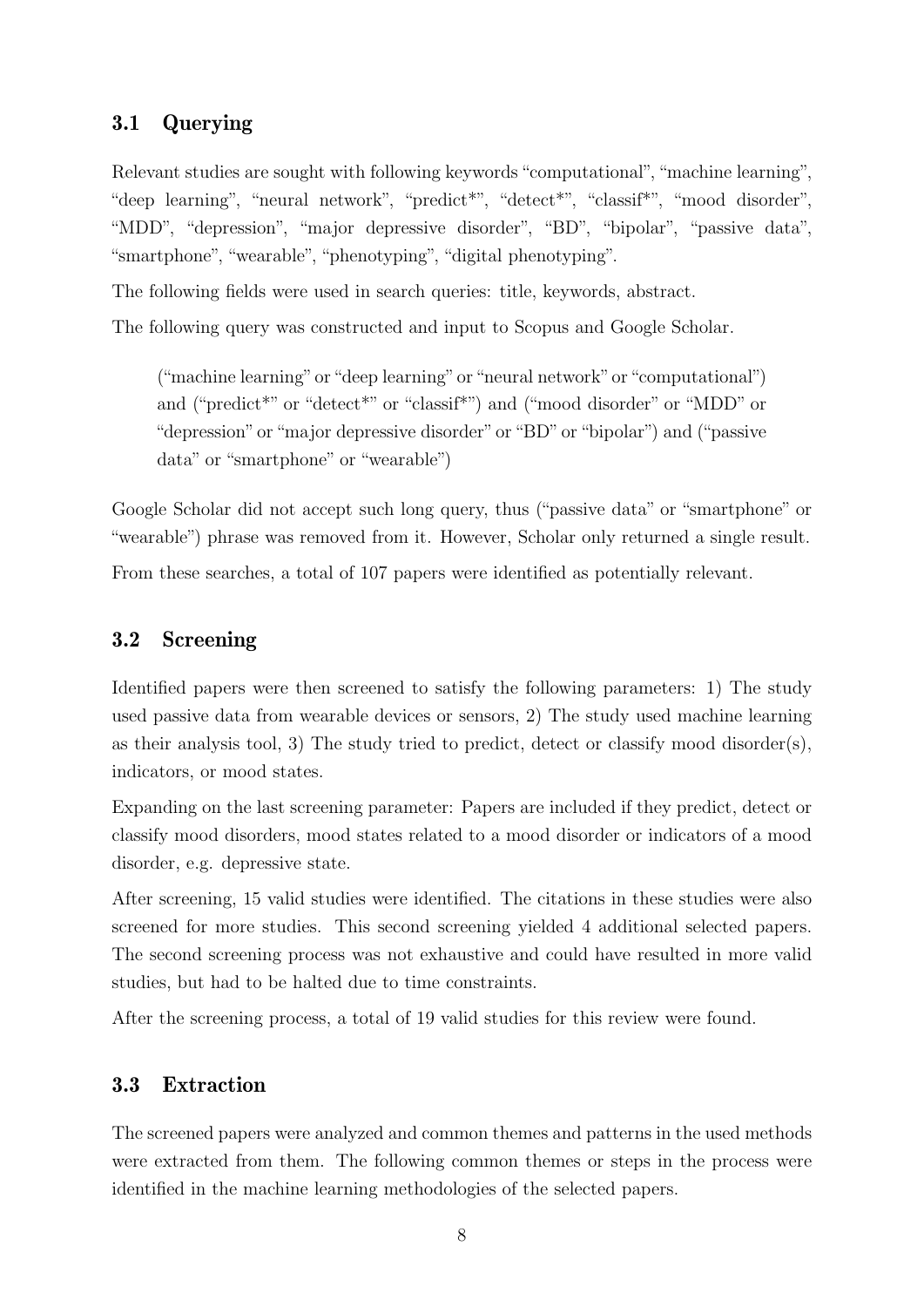#### <span id="page-7-0"></span>3.1 Querying

Relevant studies are sought with following keywords "computational", "machine learning", "deep learning", "neural network", "predict<sup>\*</sup>", "detect<sup>\*"</sup>, "classif<sup>\*"</sup>, "mood disorder", "MDD", "depression", "major depressive disorder", "BD", "bipolar", "passive data", "smartphone", "wearable", "phenotyping", "digital phenotyping".

The following fields were used in search queries: title, keywords, abstract.

The following query was constructed and input to Scopus and Google Scholar.

("machine learning" or "deep learning" or "neural network" or "computational") and ("predict<sup>\*"</sup> or "detect<sup>\*"</sup> or "classif<sup>\*"</sup>) and ("mood disorder" or "MDD" or "depression" or "major depressive disorder" or "BD" or "bipolar") and ("passive data" or "smartphone" or "wearable")

Google Scholar did not accept such long query, thus ("passive data" or "smartphone" or "wearable") phrase was removed from it. However, Scholar only returned a single result. From these searches, a total of 107 papers were identified as potentially relevant.

#### <span id="page-7-1"></span>3.2 Screening

Identified papers were then screened to satisfy the following parameters: 1) The study used passive data from wearable devices or sensors, 2) The study used machine learning as their analysis tool, 3) The study tried to predict, detect or classify mood disorder(s), indicators, or mood states.

Expanding on the last screening parameter: Papers are included if they predict, detect or classify mood disorders, mood states related to a mood disorder or indicators of a mood disorder, e.g. depressive state.

After screening, 15 valid studies were identified. The citations in these studies were also screened for more studies. This second screening yielded 4 additional selected papers. The second screening process was not exhaustive and could have resulted in more valid studies, but had to be halted due to time constraints.

After the screening process, a total of 19 valid studies for this review were found.

#### <span id="page-7-2"></span>3.3 Extraction

The screened papers were analyzed and common themes and patterns in the used methods were extracted from them. The following common themes or steps in the process were identified in the machine learning methodologies of the selected papers.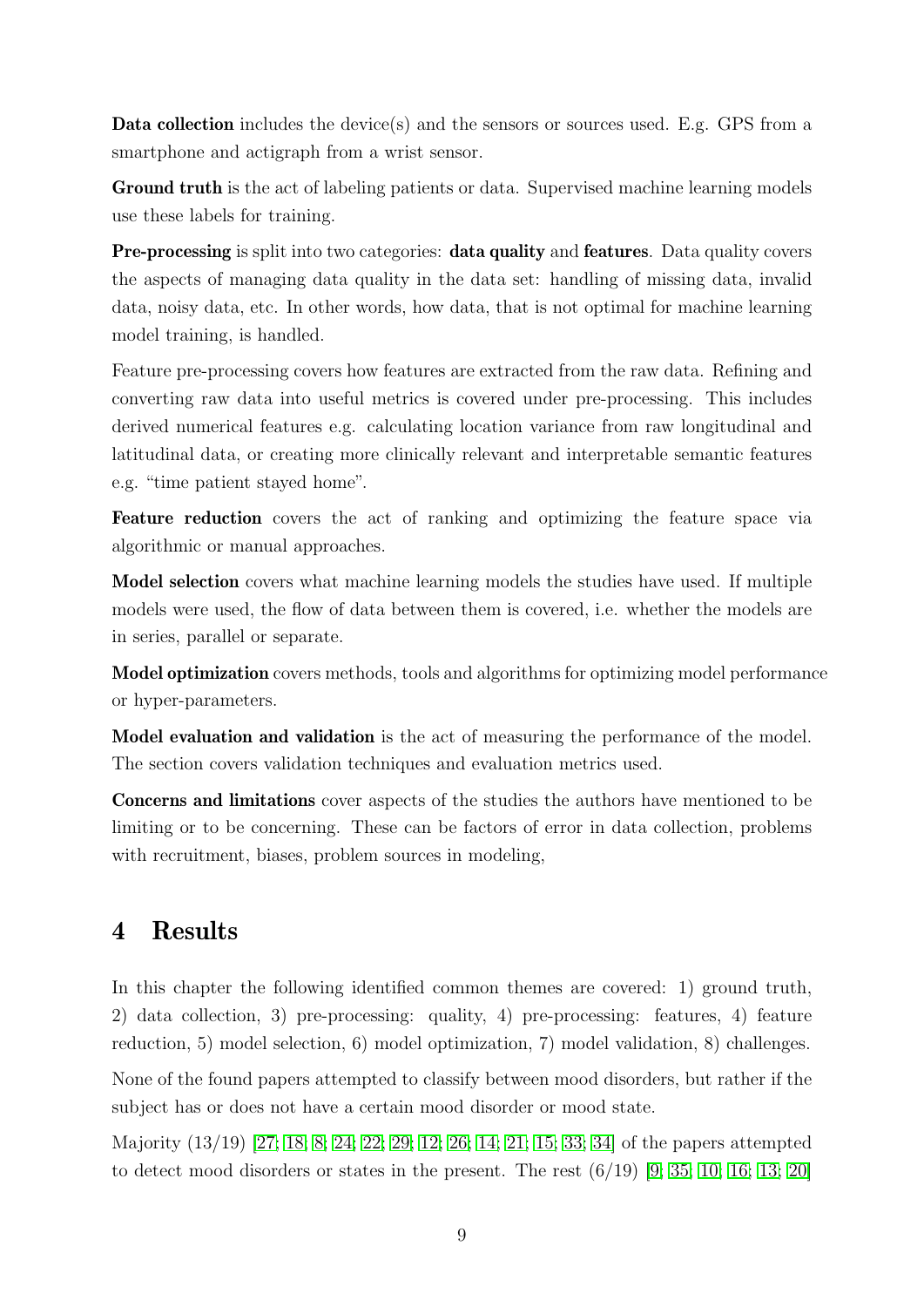Data collection includes the device(s) and the sensors or sources used. E.g. GPS from a smartphone and actigraph from a wrist sensor.

Ground truth is the act of labeling patients or data. Supervised machine learning models use these labels for training.

Pre-processing is split into two categories: data quality and features. Data quality covers the aspects of managing data quality in the data set: handling of missing data, invalid data, noisy data, etc. In other words, how data, that is not optimal for machine learning model training, is handled.

Feature pre-processing covers how features are extracted from the raw data. Refining and converting raw data into useful metrics is covered under pre-processing. This includes derived numerical features e.g. calculating location variance from raw longitudinal and latitudinal data, or creating more clinically relevant and interpretable semantic features e.g. "time patient stayed home".

Feature reduction covers the act of ranking and optimizing the feature space via algorithmic or manual approaches.

Model selection covers what machine learning models the studies have used. If multiple models were used, the flow of data between them is covered, i.e. whether the models are in series, parallel or separate.

Model optimization covers methods, tools and algorithms for optimizing model performance or hyper-parameters.

Model evaluation and validation is the act of measuring the performance of the model. The section covers validation techniques and evaluation metrics used.

Concerns and limitations cover aspects of the studies the authors have mentioned to be limiting or to be concerning. These can be factors of error in data collection, problems with recruitment, biases, problem sources in modeling,

## <span id="page-8-0"></span>4 Results

In this chapter the following identified common themes are covered: 1) ground truth, 2) data collection, 3) pre-processing: quality, 4) pre-processing: features, 4) feature reduction, 5) model selection, 6) model optimization, 7) model validation, 8) challenges.

None of the found papers attempted to classify between mood disorders, but rather if the subject has or does not have a certain mood disorder or mood state.

Majority (13/19) [\[27;](#page-30-3) [18;](#page-23-2) [8;](#page-21-5) [24;](#page-30-4) [22;](#page-30-5) [29;](#page-30-6) [12;](#page-22-1) [26;](#page-30-7) [14;](#page-22-2) [21;](#page-29-0) [15;](#page-22-3) [33;](#page-31-3) [34\]](#page-31-4) of the papers attempted to detect mood disorders or states in the present. The rest  $(6/19)$  [\[9;](#page-22-4) [35;](#page-31-5) [10;](#page-22-5) [16;](#page-23-3) [13;](#page-22-6) [20\]](#page-29-1)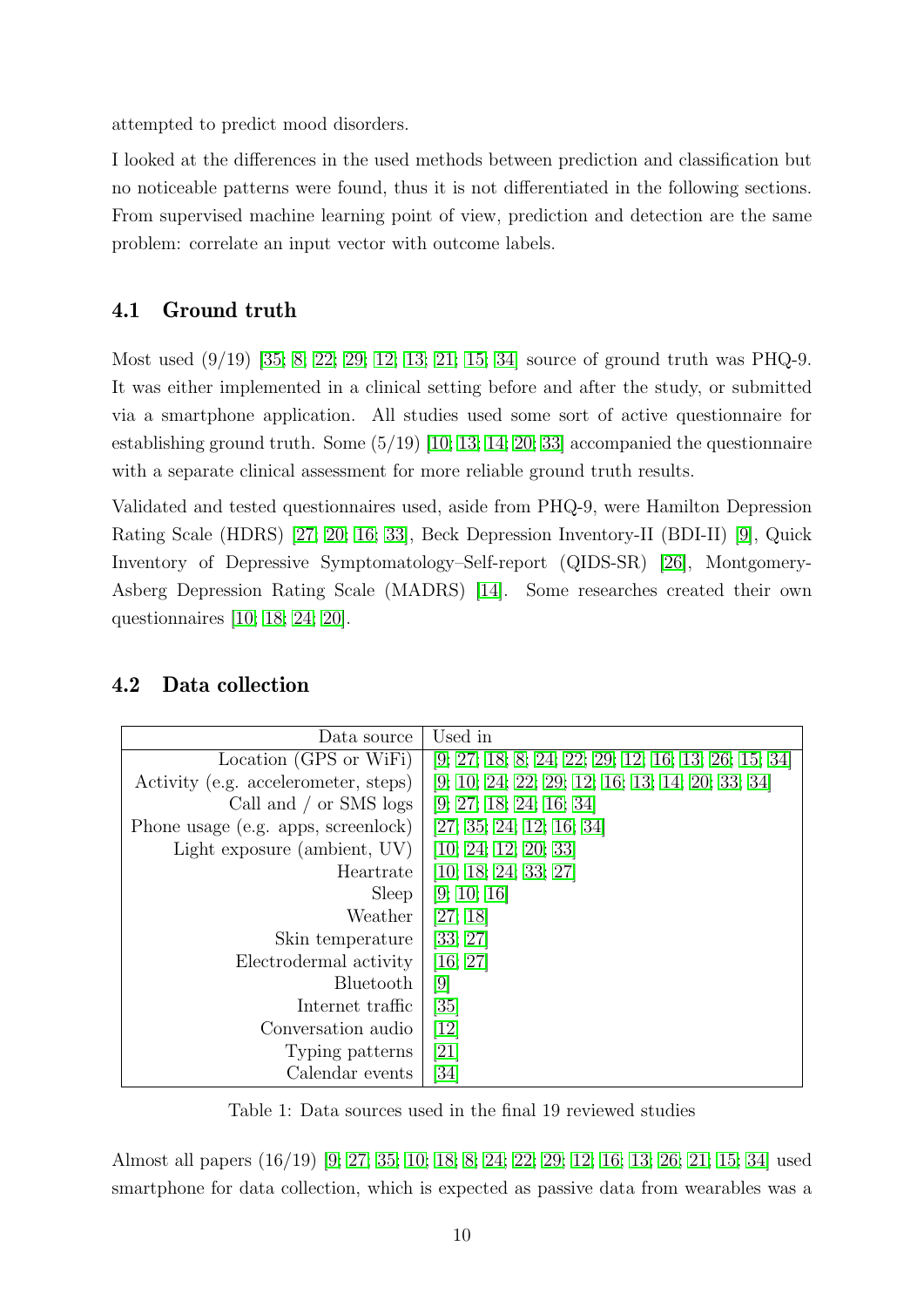attempted to predict mood disorders.

I looked at the differences in the used methods between prediction and classification but no noticeable patterns were found, thus it is not differentiated in the following sections. From supervised machine learning point of view, prediction and detection are the same problem: correlate an input vector with outcome labels.

#### <span id="page-9-0"></span>4.1 Ground truth

Most used (9/19) [\[35;](#page-31-5) [8;](#page-21-5) [22;](#page-30-5) [29;](#page-30-6) [12;](#page-22-1) [13;](#page-22-6) [21;](#page-29-0) [15;](#page-22-3) [34\]](#page-31-4) source of ground truth was PHQ-9. It was either implemented in a clinical setting before and after the study, or submitted via a smartphone application. All studies used some sort of active questionnaire for establishing ground truth. Some (5/19) [\[10;](#page-22-5) [13;](#page-22-6) [14;](#page-22-2) [20;](#page-29-1) [33\]](#page-31-3) accompanied the questionnaire with a separate clinical assessment for more reliable ground truth results.

Validated and tested questionnaires used, aside from PHQ-9, were Hamilton Depression Rating Scale (HDRS) [\[27;](#page-30-3) [20;](#page-29-1) [16;](#page-23-3) [33\]](#page-31-3), Beck Depression Inventory-II (BDI-II) [\[9\]](#page-22-4), Quick Inventory of Depressive Symptomatology–Self-report (QIDS-SR) [\[26\]](#page-30-7), Montgomery-Asberg Depression Rating Scale (MADRS) [\[14\]](#page-22-2). Some researches created their own questionnaires [\[10;](#page-22-5) [18;](#page-23-2) [24;](#page-30-4) [20\]](#page-29-1).

| $2^{\circ}$<br>Data collection       |                                                      |
|--------------------------------------|------------------------------------------------------|
| Data source                          | Used in                                              |
| Location (GPS or WiFi)               | $[9; 27; 18; 8; 24; 22; 29; 12; 16; 13; 26; 15; 34]$ |
| Activity (e.g. accelerometer, steps) | $[9; 10; 24; 22; 29; 12; 16; 13; 14; 20; 33; 34]$    |
| Call and / or SMS logs               | [9; 27; 18; 24; 16; 34]                              |
| Phone usage (e.g. apps, screenlock)  | [27; 35; 24; 12; 16; 34]                             |
| Light exposure (ambient, UV)         | [10; 24; 12; 20; 33]                                 |
| Heartrate                            | [10; 18; 24; 33; 27]                                 |
| <b>Sleep</b>                         | [9; 10; 16]                                          |
| Weather                              | [27; 18]                                             |
| Skin temperature                     | [33; 27]                                             |
| Electrodermal activity               | [16; 27]                                             |
| Bluetooth                            | [9]                                                  |
| Internet traffic                     | [35]                                                 |
| Conversation audio                   | $\left[12\right]$                                    |

Typing patterns  $\vert$  [\[21\]](#page-29-0) Calendar events [\[34\]](#page-31-4)

#### <span id="page-9-1"></span>4.2 Data collection

Table 1: Data sources used in the final 19 reviewed studies

Almost all papers (16/19) [\[9;](#page-22-4) [27;](#page-30-3) [35;](#page-31-5) [10;](#page-22-5) [18;](#page-23-2) [8;](#page-21-5) [24;](#page-30-4) [22;](#page-30-5) [29;](#page-30-6) [12;](#page-22-1) [16;](#page-23-3) [13;](#page-22-6) [26;](#page-30-7) [21;](#page-29-0) [15;](#page-22-3) [34\]](#page-31-4) used smartphone for data collection, which is expected as passive data from wearables was a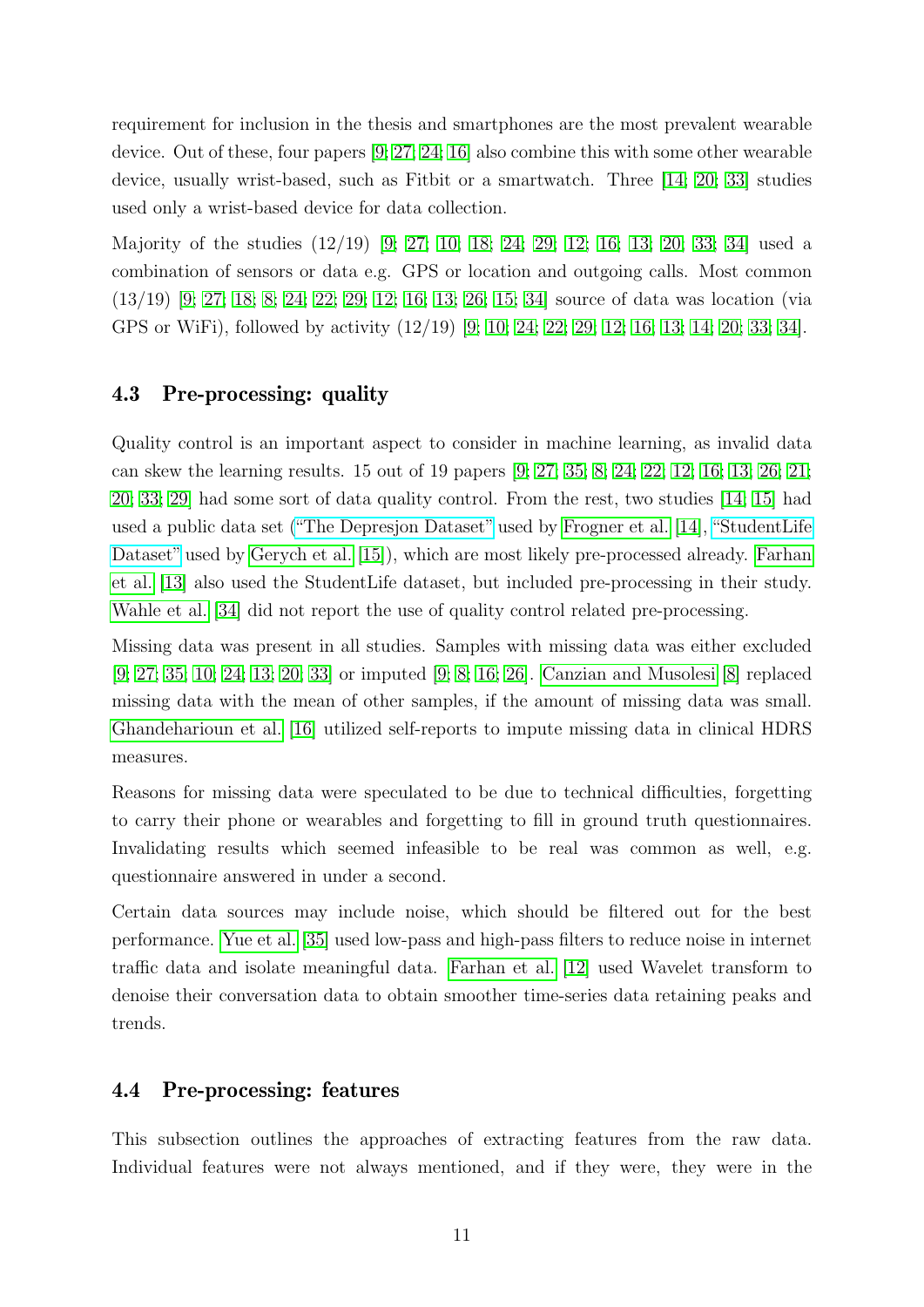requirement for inclusion in the thesis and smartphones are the most prevalent wearable device. Out of these, four papers [\[9;](#page-22-4) [27;](#page-30-3) [24;](#page-30-4) [16\]](#page-23-3) also combine this with some other wearable device, usually wrist-based, such as Fitbit or a smartwatch. Three [\[14;](#page-22-2) [20;](#page-29-1) [33\]](#page-31-3) studies used only a wrist-based device for data collection.

Majority of the studies (12/19) [\[9;](#page-22-4) [27;](#page-30-3) [10;](#page-22-5) [18;](#page-23-2) [24;](#page-30-4) [29;](#page-30-6) [12;](#page-22-1) [16;](#page-23-3) [13;](#page-22-6) [20;](#page-29-1) [33;](#page-31-3) [34\]](#page-31-4) used a combination of sensors or data e.g. GPS or location and outgoing calls. Most common (13/19) [\[9;](#page-22-4) [27;](#page-30-3) [18;](#page-23-2) [8;](#page-21-5) [24;](#page-30-4) [22;](#page-30-5) [29;](#page-30-6) [12;](#page-22-1) [16;](#page-23-3) [13;](#page-22-6) [26;](#page-30-7) [15;](#page-22-3) [34\]](#page-31-4) source of data was location (via GPS or WiFi), followed by activity (12/19) [\[9;](#page-22-4) [10;](#page-22-5) [24;](#page-30-4) [22;](#page-30-5) [29;](#page-30-6) [12;](#page-22-1) [16;](#page-23-3) [13;](#page-22-6) [14;](#page-22-2) [20;](#page-29-1) [33;](#page-31-3) [34\]](#page-31-4).

#### <span id="page-10-0"></span>4.3 Pre-processing: quality

Quality control is an important aspect to consider in machine learning, as invalid data can skew the learning results. 15 out of 19 papers [\[9;](#page-22-4) [27;](#page-30-3) [35;](#page-31-5) [8;](#page-21-5) [24;](#page-30-4) [22;](#page-30-5) [12;](#page-22-1) [16;](#page-23-3) [13;](#page-22-6) [26;](#page-30-7) [21;](#page-29-0) [20;](#page-29-1) [33;](#page-31-3) [29\]](#page-30-6) had some sort of data quality control. From the rest, two studies [\[14;](#page-22-2) [15\]](#page-22-3) had used a public data set [\("The Depresjon Dataset"](https://datasets.simula.no/depresjon/) used by [Frogner et al.](#page-22-2) [\[14\]](#page-22-2), ["StudentLife](https://studentlife.cs.dartmouth.edu/dataset.html) [Dataset"](https://studentlife.cs.dartmouth.edu/dataset.html) used by [Gerych et al.](#page-22-3) [\[15\]](#page-22-3)), which are most likely pre-processed already. [Farhan](#page-22-1) [et al.](#page-22-1) [\[13\]](#page-22-6) also used the StudentLife dataset, but included pre-processing in their study. [Wahle et al.](#page-31-4) [\[34\]](#page-31-4) did not report the use of quality control related pre-processing.

Missing data was present in all studies. Samples with missing data was either excluded [\[9;](#page-22-4) [27;](#page-30-3) [35;](#page-31-5) [10;](#page-22-5) [24;](#page-30-4) [13;](#page-22-6) [20;](#page-29-1) [33\]](#page-31-3) or imputed [\[9;](#page-22-4) [8;](#page-21-5) [16;](#page-23-3) [26\]](#page-30-7). [Canzian and Musolesi](#page-21-5) [\[8\]](#page-21-5) replaced missing data with the mean of other samples, if the amount of missing data was small. [Ghandeharioun et al.](#page-23-3) [\[16\]](#page-23-3) utilized self-reports to impute missing data in clinical HDRS measures.

Reasons for missing data were speculated to be due to technical difficulties, forgetting to carry their phone or wearables and forgetting to fill in ground truth questionnaires. Invalidating results which seemed infeasible to be real was common as well, e.g. questionnaire answered in under a second.

Certain data sources may include noise, which should be filtered out for the best performance. [Yue et al.](#page-31-5) [\[35\]](#page-31-5) used low-pass and high-pass filters to reduce noise in internet traffic data and isolate meaningful data. [Farhan et al.](#page-22-1) [\[12\]](#page-22-1) used Wavelet transform to denoise their conversation data to obtain smoother time-series data retaining peaks and trends.

#### <span id="page-10-1"></span>4.4 Pre-processing: features

This subsection outlines the approaches of extracting features from the raw data. Individual features were not always mentioned, and if they were, they were in the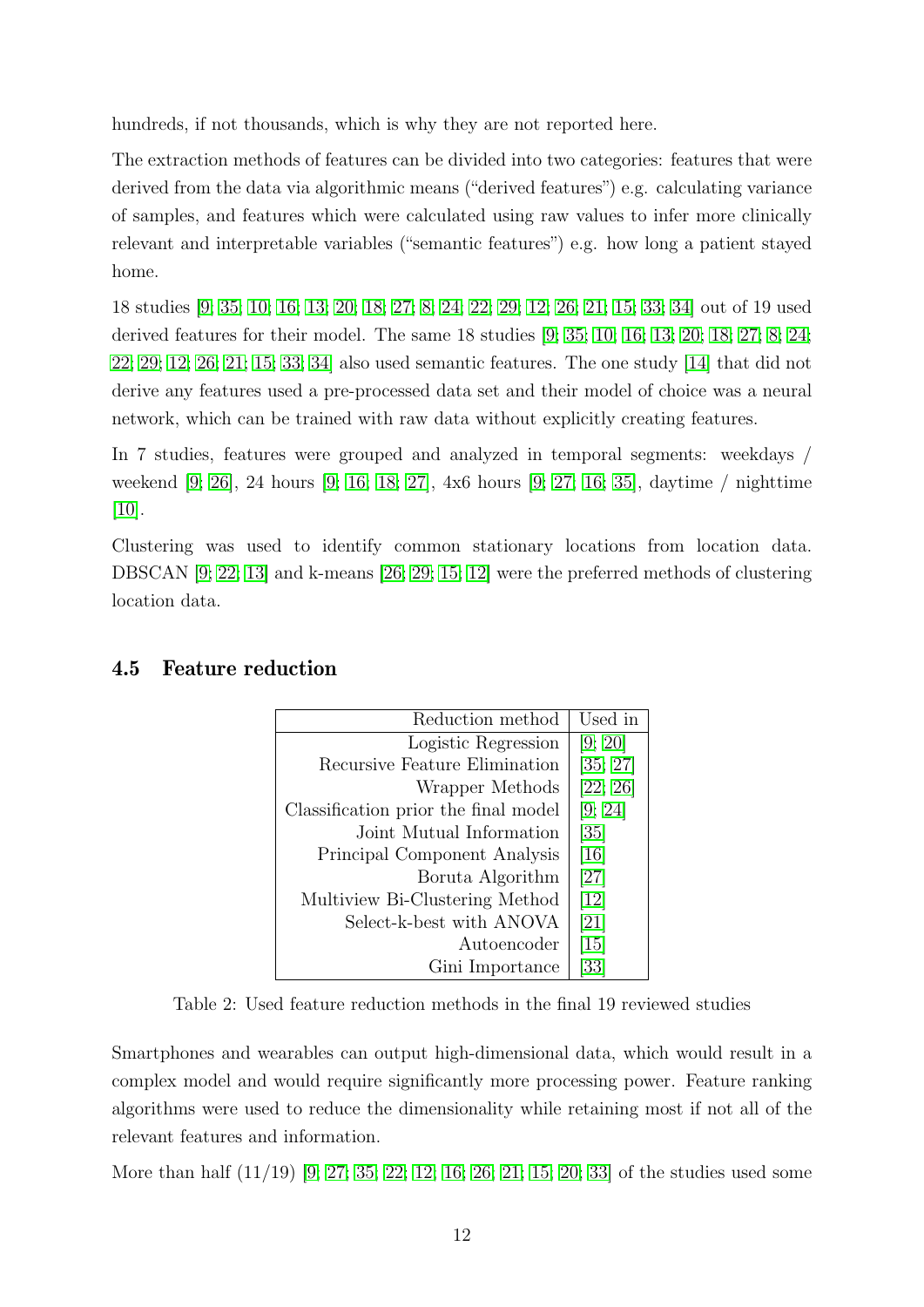hundreds, if not thousands, which is why they are not reported here.

The extraction methods of features can be divided into two categories: features that were derived from the data via algorithmic means ("derived features") e.g. calculating variance of samples, and features which were calculated using raw values to infer more clinically relevant and interpretable variables ("semantic features") e.g. how long a patient stayed home.

18 studies [\[9;](#page-22-4) [35;](#page-31-5) [10;](#page-22-5) [16;](#page-23-3) [13;](#page-22-6) [20;](#page-29-1) [18;](#page-23-2) [27;](#page-30-3) [8;](#page-21-5) [24;](#page-30-4) [22;](#page-30-5) [29;](#page-30-6) [12;](#page-22-1) [26;](#page-30-7) [21;](#page-29-0) [15;](#page-22-3) [33;](#page-31-3) [34\]](#page-31-4) out of 19 used derived features for their model. The same 18 studies [\[9;](#page-22-4) [35;](#page-31-5) [10;](#page-22-5) [16;](#page-23-3) [13;](#page-22-6) [20;](#page-29-1) [18;](#page-23-2) [27;](#page-30-3) [8;](#page-21-5) [24;](#page-30-4) [22;](#page-30-5) [29;](#page-30-6) [12;](#page-22-1) [26;](#page-30-7) [21;](#page-29-0) [15;](#page-22-3) [33;](#page-31-3) [34\]](#page-31-4) also used semantic features. The one study [\[14\]](#page-22-2) that did not derive any features used a pre-processed data set and their model of choice was a neural network, which can be trained with raw data without explicitly creating features.

In 7 studies, features were grouped and analyzed in temporal segments: weekdays / weekend [\[9;](#page-22-4) [26\]](#page-30-7), 24 hours [\[9;](#page-22-4) [16;](#page-23-3) [18;](#page-23-2) [27\]](#page-30-3), 4x6 hours [\[9;](#page-22-4) [27;](#page-30-3) [16;](#page-23-3) [35\]](#page-31-5), daytime / nighttime [\[10\]](#page-22-5).

Clustering was used to identify common stationary locations from location data. DBSCAN [\[9;](#page-22-4) [22;](#page-30-5) [13\]](#page-22-6) and k-means [\[26;](#page-30-7) [29;](#page-30-6) [15;](#page-22-3) [12\]](#page-22-1) were the preferred methods of clustering location data.

| Reduction method                     | Used in           |
|--------------------------------------|-------------------|
| Logistic Regression                  | [9; 20]           |
| Recursive Feature Elimination        | [35; 27]          |
| Wrapper Methods                      | [22; 26]          |
| Classification prior the final model | [9; 24]           |
| Joint Mutual Information             | [35]              |
| Principal Component Analysis         | [16]              |
| Boruta Algorithm                     | [27]              |
| Multiview Bi-Clustering Method       | [12]              |
| Select-k-best with ANOVA             | [21]              |
| Autoencoder                          | $\left[15\right]$ |
| Gini Importance                      | [33]              |

### <span id="page-11-0"></span>4.5 Feature reduction

Table 2: Used feature reduction methods in the final 19 reviewed studies

Smartphones and wearables can output high-dimensional data, which would result in a complex model and would require significantly more processing power. Feature ranking algorithms were used to reduce the dimensionality while retaining most if not all of the relevant features and information.

More than half (11/19) [\[9;](#page-22-4) [27;](#page-30-3) [35;](#page-31-5) [22;](#page-30-5) [12;](#page-22-1) [16;](#page-23-3) [26;](#page-30-7) [21;](#page-29-0) [15;](#page-22-3) [20;](#page-29-1) [33\]](#page-31-3) of the studies used some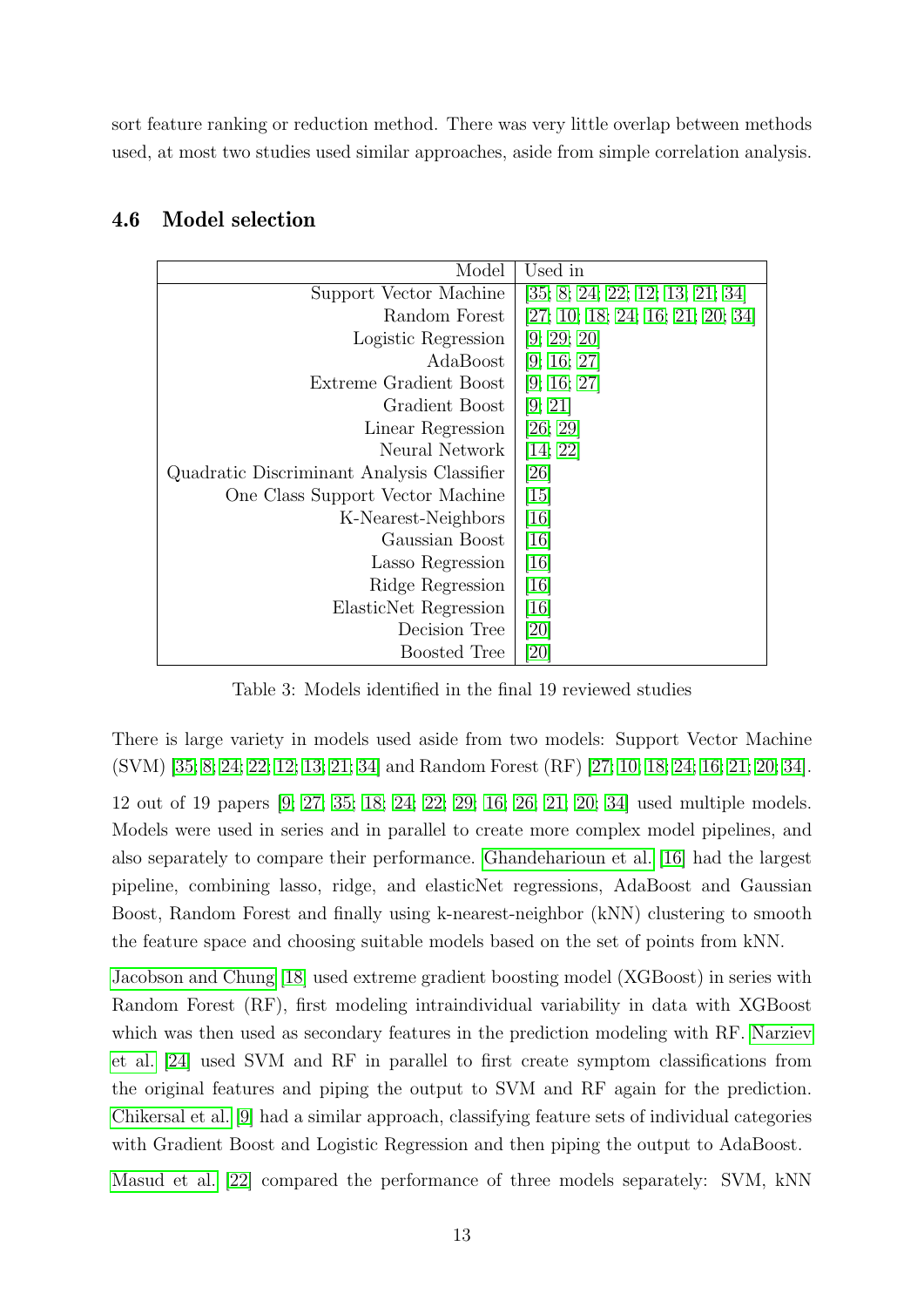sort feature ranking or reduction method. There was very little overlap between methods used, at most two studies used similar approaches, aside from simple correlation analysis.

| Model                                      | Used in                          |
|--------------------------------------------|----------------------------------|
| Support Vector Machine                     | [35; 8; 24; 22; 12; 13; 21; 34]  |
| Random Forest                              | [27; 10; 18; 24; 16; 21; 20; 34] |
| Logistic Regression                        | [9; 29; 20]                      |
| AdaBoost                                   | [9; 16; 27]                      |
| Extreme Gradient Boost                     | [9; 16; 27]                      |
| Gradient Boost                             | [9; 21]                          |
| Linear Regression                          | [26; 29]                         |
| Neural Network                             | [14; 22]                         |
| Quadratic Discriminant Analysis Classifier | [26]                             |
| One Class Support Vector Machine           | $\left[15\right]$                |
| K-Nearest-Neighbors                        | $\vert 16 \vert$                 |
| Gaussian Boost                             | $\vert 16 \vert$                 |
| Lasso Regression                           | $\vert 16 \vert$                 |
| Ridge Regression                           | [16]                             |
| ElasticNet Regression                      | $\vert 16 \vert$                 |
| Decision Tree                              | [20]                             |
| Boosted Tree                               | 20                               |

#### <span id="page-12-0"></span>4.6 Model selection

Table 3: Models identified in the final 19 reviewed studies

There is large variety in models used aside from two models: Support Vector Machine (SVM) [\[35;](#page-31-5) [8;](#page-21-5) [24;](#page-30-4) [22;](#page-30-5) [12;](#page-22-1) [13;](#page-22-6) [21;](#page-29-0) [34\]](#page-31-4) and Random Forest (RF) [\[27;](#page-30-3) [10;](#page-22-5) [18;](#page-23-2) [24;](#page-30-4) [16;](#page-23-3) [21;](#page-29-0) [20;](#page-29-1) [34\]](#page-31-4). 12 out of 19 papers [\[9;](#page-22-4) [27;](#page-30-3) [35;](#page-31-5) [18;](#page-23-2) [24;](#page-30-4) [22;](#page-30-5) [29;](#page-30-6) [16;](#page-23-3) [26;](#page-30-7) [21;](#page-29-0) [20;](#page-29-1) [34\]](#page-31-4) used multiple models. Models were used in series and in parallel to create more complex model pipelines, and also separately to compare their performance. [Ghandeharioun et al.](#page-23-3) [\[16\]](#page-23-3) had the largest pipeline, combining lasso, ridge, and elasticNet regressions, AdaBoost and Gaussian Boost, Random Forest and finally using k-nearest-neighbor (kNN) clustering to smooth the feature space and choosing suitable models based on the set of points from kNN.

[Jacobson and Chung](#page-23-2) [\[18\]](#page-23-2) used extreme gradient boosting model (XGBoost) in series with Random Forest (RF), first modeling intraindividual variability in data with XGBoost which was then used as secondary features in the prediction modeling with RF. [Narziev](#page-30-4) [et al.](#page-30-4) [\[24\]](#page-30-4) used SVM and RF in parallel to first create symptom classifications from the original features and piping the output to SVM and RF again for the prediction. [Chikersal et al.](#page-22-4) [\[9\]](#page-22-4) had a similar approach, classifying feature sets of individual categories with Gradient Boost and Logistic Regression and then piping the output to AdaBoost.

[Masud et al.](#page-30-5) [\[22\]](#page-30-5) compared the performance of three models separately: SVM, kNN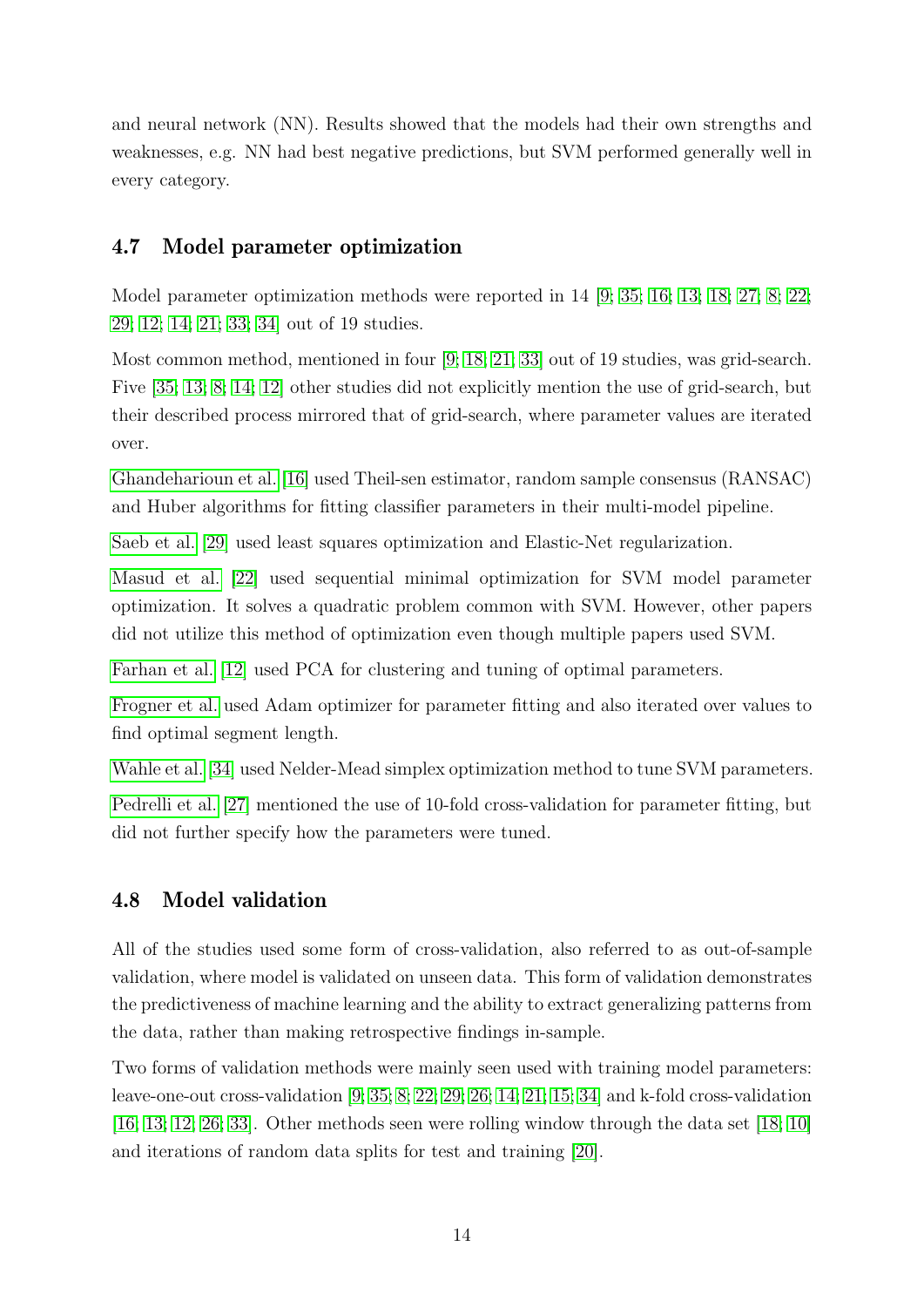and neural network (NN). Results showed that the models had their own strengths and weaknesses, e.g. NN had best negative predictions, but SVM performed generally well in every category.

#### <span id="page-13-0"></span>4.7 Model parameter optimization

Model parameter optimization methods were reported in 14 [\[9;](#page-22-4) [35;](#page-31-5) [16;](#page-23-3) [13;](#page-22-6) [18;](#page-23-2) [27;](#page-30-3) [8;](#page-21-5) [22;](#page-30-5) [29;](#page-30-6) [12;](#page-22-1) [14;](#page-22-2) [21;](#page-29-0) [33;](#page-31-3) [34\]](#page-31-4) out of 19 studies.

Most common method, mentioned in four [\[9;](#page-22-4) [18;](#page-23-2) [21;](#page-29-0) [33\]](#page-31-3) out of 19 studies, was grid-search. Five [\[35;](#page-31-5) [13;](#page-22-6) [8;](#page-21-5) [14;](#page-22-2) [12\]](#page-22-1) other studies did not explicitly mention the use of grid-search, but their described process mirrored that of grid-search, where parameter values are iterated over.

[Ghandeharioun et al.](#page-23-3) [\[16\]](#page-23-3) used Theil-sen estimator, random sample consensus (RANSAC) and Huber algorithms for fitting classifier parameters in their multi-model pipeline.

[Saeb et al.](#page-30-6) [\[29\]](#page-30-6) used least squares optimization and Elastic-Net regularization.

[Masud et al.](#page-30-5) [\[22\]](#page-30-5) used sequential minimal optimization for SVM model parameter optimization. It solves a quadratic problem common with SVM. However, other papers did not utilize this method of optimization even though multiple papers used SVM.

[Farhan et al.](#page-22-1) [\[12\]](#page-22-1) used PCA for clustering and tuning of optimal parameters.

[Frogner et al.](#page-22-2) used Adam optimizer for parameter fitting and also iterated over values to find optimal segment length.

[Wahle et al.](#page-31-4) [\[34\]](#page-31-4) used Nelder-Mead simplex optimization method to tune SVM parameters.

[Pedrelli et al.](#page-30-3) [\[27\]](#page-30-3) mentioned the use of 10-fold cross-validation for parameter fitting, but did not further specify how the parameters were tuned.

#### <span id="page-13-1"></span>4.8 Model validation

All of the studies used some form of cross-validation, also referred to as out-of-sample validation, where model is validated on unseen data. This form of validation demonstrates the predictiveness of machine learning and the ability to extract generalizing patterns from the data, rather than making retrospective findings in-sample.

Two forms of validation methods were mainly seen used with training model parameters: leave-one-out cross-validation [\[9;](#page-22-4) [35;](#page-31-5) [8;](#page-21-5) [22;](#page-30-5) [29;](#page-30-6) [26;](#page-30-7) [14;](#page-22-2) [21;](#page-29-0) [15;](#page-22-3) [34\]](#page-31-4) and k-fold cross-validation [\[16;](#page-23-3) [13;](#page-22-6) [12;](#page-22-1) [26;](#page-30-7) [33\]](#page-31-3). Other methods seen were rolling window through the data set [\[18;](#page-23-2) [10\]](#page-22-5) and iterations of random data splits for test and training [\[20\]](#page-29-1).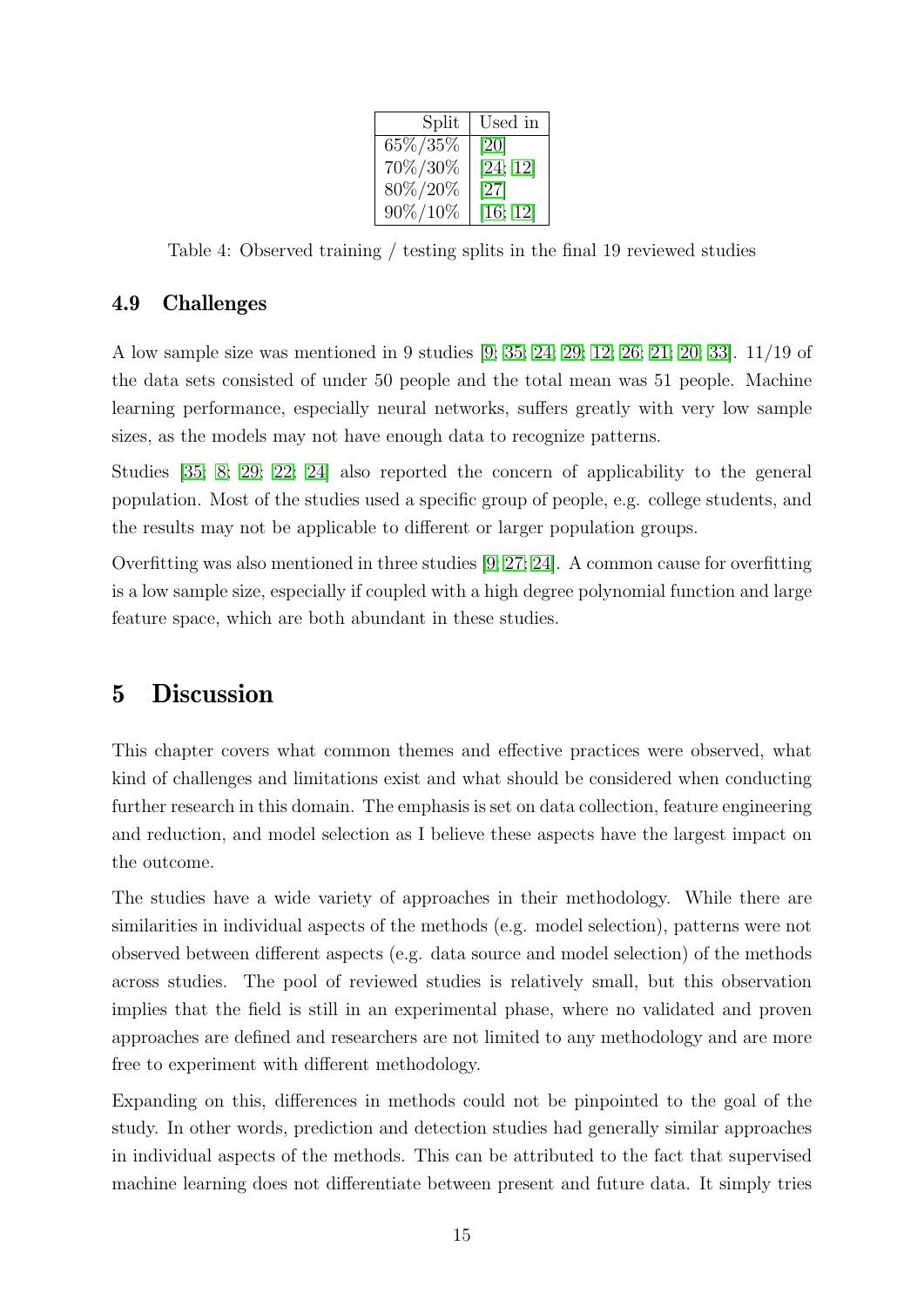| Split       | Used in  |
|-------------|----------|
| $65\%/35\%$ | [20]     |
| 70%/30%     | [24; 12] |
| 80%/20%     | [27]     |
| 90%/10%     | [16; 12] |

Table 4: Observed training / testing splits in the final 19 reviewed studies

### <span id="page-14-0"></span>4.9 Challenges

A low sample size was mentioned in 9 studies [\[9;](#page-22-4) [35;](#page-31-5) [24;](#page-30-4) [29;](#page-30-6) [12;](#page-22-1) [26;](#page-30-7) [21;](#page-29-0) [20;](#page-29-1) [33\]](#page-31-3). 11/19 of the data sets consisted of under 50 people and the total mean was 51 people. Machine learning performance, especially neural networks, suffers greatly with very low sample sizes, as the models may not have enough data to recognize patterns.

Studies [\[35;](#page-31-5) [8;](#page-21-5) [29;](#page-30-6) [22;](#page-30-5) [24\]](#page-30-4) also reported the concern of applicability to the general population. Most of the studies used a specific group of people, e.g. college students, and the results may not be applicable to different or larger population groups.

Overfitting was also mentioned in three studies [\[9;](#page-22-4) [27;](#page-30-3) [24\]](#page-30-4). A common cause for overfitting is a low sample size, especially if coupled with a high degree polynomial function and large feature space, which are both abundant in these studies.

## <span id="page-14-1"></span>5 Discussion

This chapter covers what common themes and effective practices were observed, what kind of challenges and limitations exist and what should be considered when conducting further research in this domain. The emphasis is set on data collection, feature engineering and reduction, and model selection as I believe these aspects have the largest impact on the outcome.

The studies have a wide variety of approaches in their methodology. While there are similarities in individual aspects of the methods (e.g. model selection), patterns were not observed between different aspects (e.g. data source and model selection) of the methods across studies. The pool of reviewed studies is relatively small, but this observation implies that the field is still in an experimental phase, where no validated and proven approaches are defined and researchers are not limited to any methodology and are more free to experiment with different methodology.

Expanding on this, differences in methods could not be pinpointed to the goal of the study. In other words, prediction and detection studies had generally similar approaches in individual aspects of the methods. This can be attributed to the fact that supervised machine learning does not differentiate between present and future data. It simply tries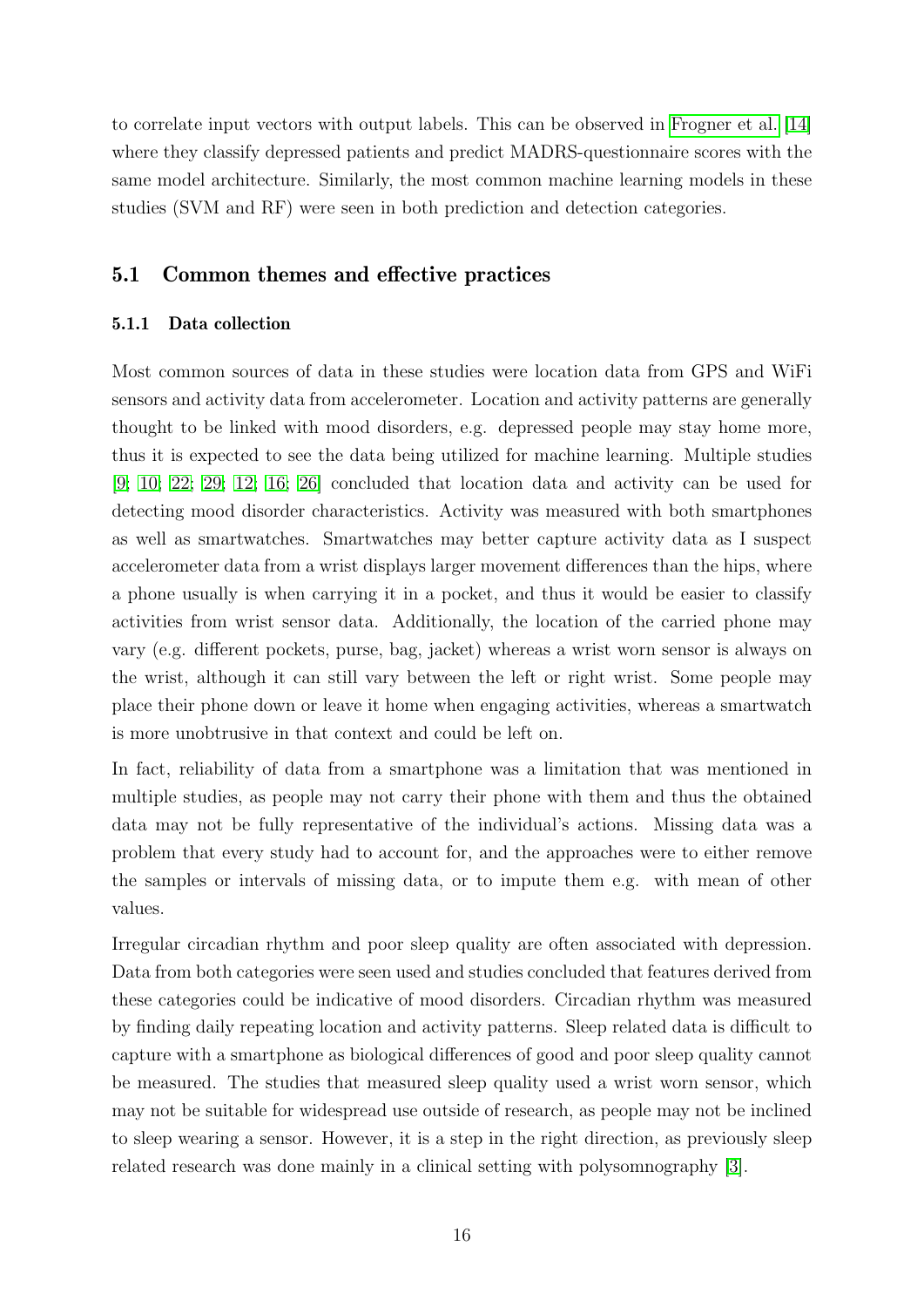to correlate input vectors with output labels. This can be observed in [Frogner et al.](#page-22-2) [\[14\]](#page-22-2) where they classify depressed patients and predict MADRS-questionnaire scores with the same model architecture. Similarly, the most common machine learning models in these studies (SVM and RF) were seen in both prediction and detection categories.

#### <span id="page-15-0"></span>5.1 Common themes and effective practices

#### <span id="page-15-1"></span>5.1.1 Data collection

Most common sources of data in these studies were location data from GPS and WiFi sensors and activity data from accelerometer. Location and activity patterns are generally thought to be linked with mood disorders, e.g. depressed people may stay home more, thus it is expected to see the data being utilized for machine learning. Multiple studies [\[9;](#page-22-4) [10;](#page-22-5) [22;](#page-30-5) [29;](#page-30-6) [12;](#page-22-1) [16;](#page-23-3) [26\]](#page-30-7) concluded that location data and activity can be used for detecting mood disorder characteristics. Activity was measured with both smartphones as well as smartwatches. Smartwatches may better capture activity data as I suspect accelerometer data from a wrist displays larger movement differences than the hips, where a phone usually is when carrying it in a pocket, and thus it would be easier to classify activities from wrist sensor data. Additionally, the location of the carried phone may vary (e.g. different pockets, purse, bag, jacket) whereas a wrist worn sensor is always on the wrist, although it can still vary between the left or right wrist. Some people may place their phone down or leave it home when engaging activities, whereas a smartwatch is more unobtrusive in that context and could be left on.

In fact, reliability of data from a smartphone was a limitation that was mentioned in multiple studies, as people may not carry their phone with them and thus the obtained data may not be fully representative of the individual's actions. Missing data was a problem that every study had to account for, and the approaches were to either remove the samples or intervals of missing data, or to impute them e.g. with mean of other values.

Irregular circadian rhythm and poor sleep quality are often associated with depression. Data from both categories were seen used and studies concluded that features derived from these categories could be indicative of mood disorders. Circadian rhythm was measured by finding daily repeating location and activity patterns. Sleep related data is difficult to capture with a smartphone as biological differences of good and poor sleep quality cannot be measured. The studies that measured sleep quality used a wrist worn sensor, which may not be suitable for widespread use outside of research, as people may not be inclined to sleep wearing a sensor. However, it is a step in the right direction, as previously sleep related research was done mainly in a clinical setting with polysomnography [\[3\]](#page-21-6).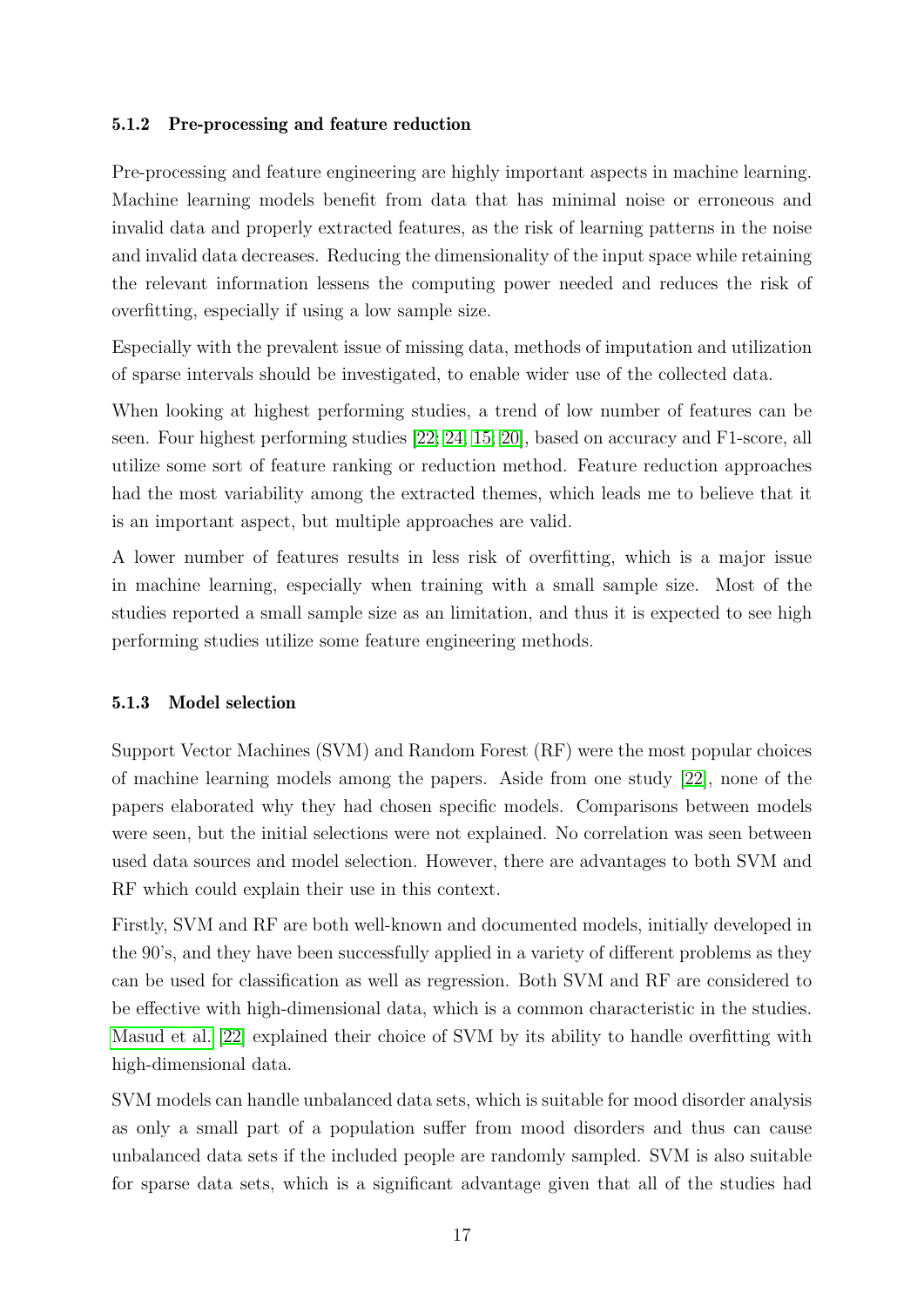#### <span id="page-16-0"></span>5.1.2 Pre-processing and feature reduction

Pre-processing and feature engineering are highly important aspects in machine learning. Machine learning models benefit from data that has minimal noise or erroneous and invalid data and properly extracted features, as the risk of learning patterns in the noise and invalid data decreases. Reducing the dimensionality of the input space while retaining the relevant information lessens the computing power needed and reduces the risk of overfitting, especially if using a low sample size.

Especially with the prevalent issue of missing data, methods of imputation and utilization of sparse intervals should be investigated, to enable wider use of the collected data.

When looking at highest performing studies, a trend of low number of features can be seen. Four highest performing studies [\[22;](#page-30-5) [24;](#page-30-4) [15;](#page-22-3) [20\]](#page-29-1), based on accuracy and F1-score, all utilize some sort of feature ranking or reduction method. Feature reduction approaches had the most variability among the extracted themes, which leads me to believe that it is an important aspect, but multiple approaches are valid.

A lower number of features results in less risk of overfitting, which is a major issue in machine learning, especially when training with a small sample size. Most of the studies reported a small sample size as an limitation, and thus it is expected to see high performing studies utilize some feature engineering methods.

#### <span id="page-16-1"></span>5.1.3 Model selection

Support Vector Machines (SVM) and Random Forest (RF) were the most popular choices of machine learning models among the papers. Aside from one study [\[22\]](#page-30-5), none of the papers elaborated why they had chosen specific models. Comparisons between models were seen, but the initial selections were not explained. No correlation was seen between used data sources and model selection. However, there are advantages to both SVM and RF which could explain their use in this context.

Firstly, SVM and RF are both well-known and documented models, initially developed in the 90's, and they have been successfully applied in a variety of different problems as they can be used for classification as well as regression. Both SVM and RF are considered to be effective with high-dimensional data, which is a common characteristic in the studies. [Masud et al.](#page-30-5) [\[22\]](#page-30-5) explained their choice of SVM by its ability to handle overfitting with high-dimensional data.

SVM models can handle unbalanced data sets, which is suitable for mood disorder analysis as only a small part of a population suffer from mood disorders and thus can cause unbalanced data sets if the included people are randomly sampled. SVM is also suitable for sparse data sets, which is a significant advantage given that all of the studies had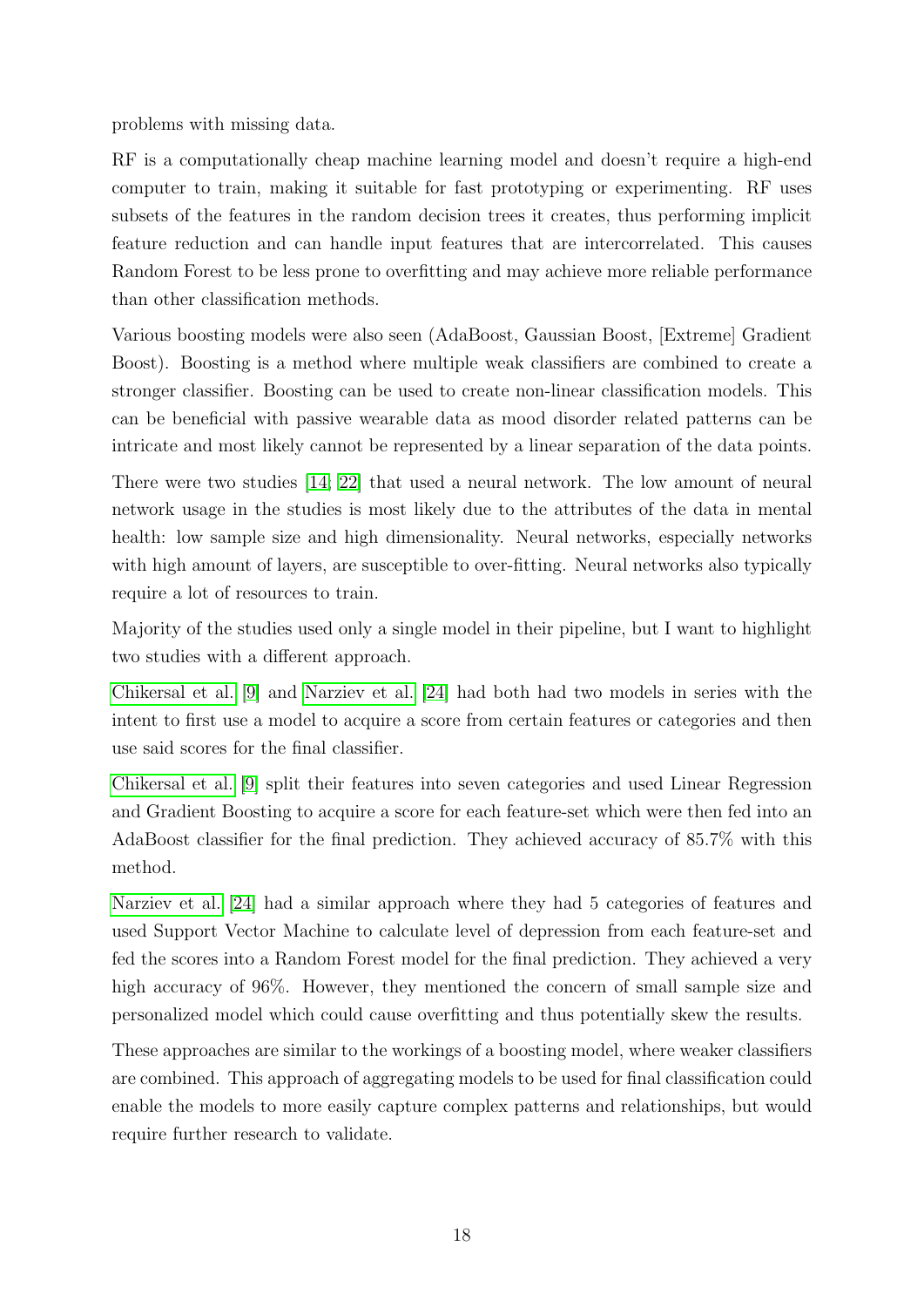problems with missing data.

RF is a computationally cheap machine learning model and doesn't require a high-end computer to train, making it suitable for fast prototyping or experimenting. RF uses subsets of the features in the random decision trees it creates, thus performing implicit feature reduction and can handle input features that are intercorrelated. This causes Random Forest to be less prone to overfitting and may achieve more reliable performance than other classification methods.

Various boosting models were also seen (AdaBoost, Gaussian Boost, [Extreme] Gradient Boost). Boosting is a method where multiple weak classifiers are combined to create a stronger classifier. Boosting can be used to create non-linear classification models. This can be beneficial with passive wearable data as mood disorder related patterns can be intricate and most likely cannot be represented by a linear separation of the data points.

There were two studies [\[14;](#page-22-2) [22\]](#page-30-5) that used a neural network. The low amount of neural network usage in the studies is most likely due to the attributes of the data in mental health: low sample size and high dimensionality. Neural networks, especially networks with high amount of layers, are susceptible to over-fitting. Neural networks also typically require a lot of resources to train.

Majority of the studies used only a single model in their pipeline, but I want to highlight two studies with a different approach.

[Chikersal et al.](#page-22-4) [\[9\]](#page-22-4) and [Narziev et al.](#page-30-4) [\[24\]](#page-30-4) had both had two models in series with the intent to first use a model to acquire a score from certain features or categories and then use said scores for the final classifier.

[Chikersal et al.](#page-22-4) [\[9\]](#page-22-4) split their features into seven categories and used Linear Regression and Gradient Boosting to acquire a score for each feature-set which were then fed into an AdaBoost classifier for the final prediction. They achieved accuracy of 85.7% with this method.

[Narziev et al.](#page-30-4) [\[24\]](#page-30-4) had a similar approach where they had 5 categories of features and used Support Vector Machine to calculate level of depression from each feature-set and fed the scores into a Random Forest model for the final prediction. They achieved a very high accuracy of 96%. However, they mentioned the concern of small sample size and personalized model which could cause overfitting and thus potentially skew the results.

These approaches are similar to the workings of a boosting model, where weaker classifiers are combined. This approach of aggregating models to be used for final classification could enable the models to more easily capture complex patterns and relationships, but would require further research to validate.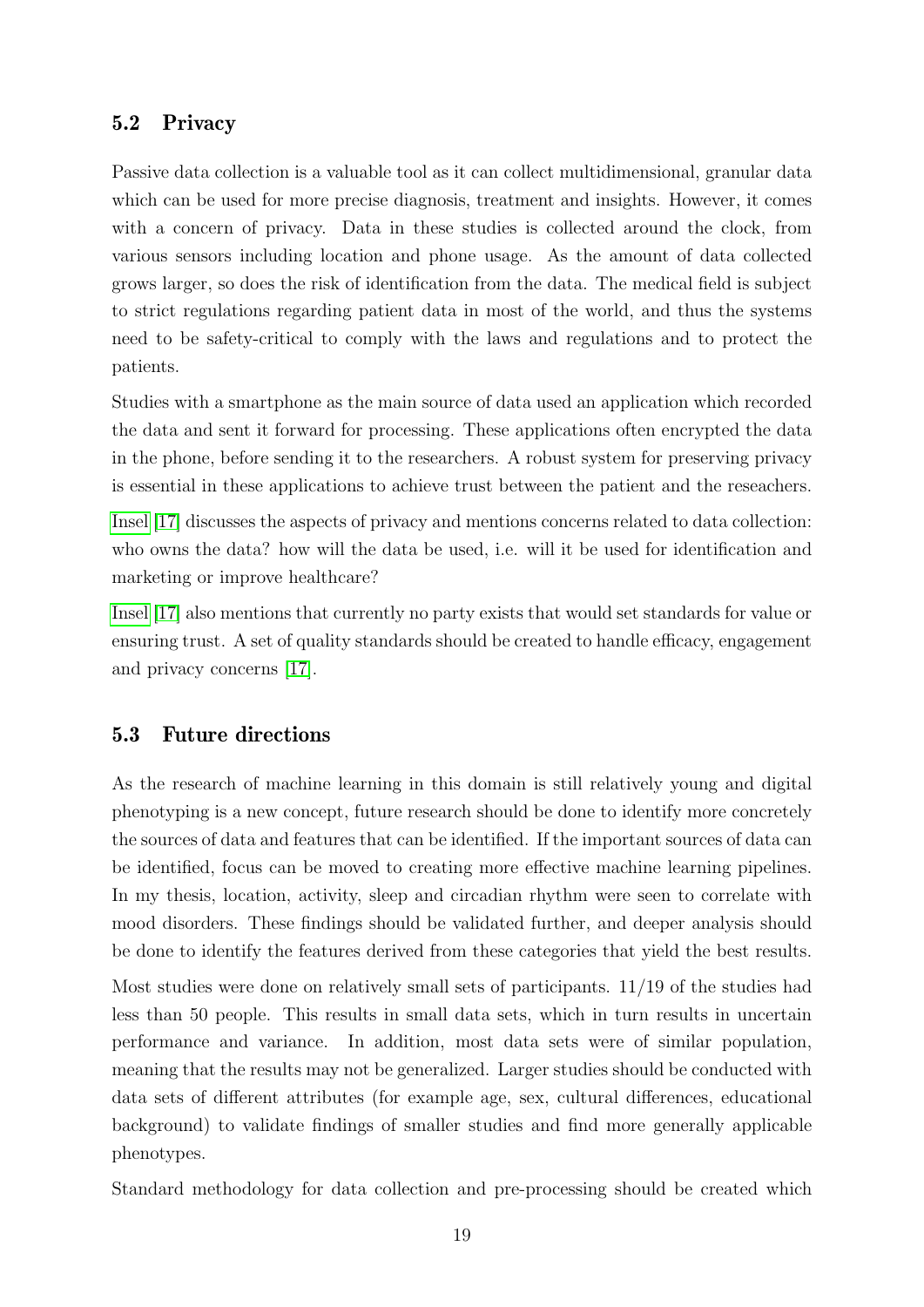#### <span id="page-18-0"></span>5.2 Privacy

Passive data collection is a valuable tool as it can collect multidimensional, granular data which can be used for more precise diagnosis, treatment and insights. However, it comes with a concern of privacy. Data in these studies is collected around the clock, from various sensors including location and phone usage. As the amount of data collected grows larger, so does the risk of identification from the data. The medical field is subject to strict regulations regarding patient data in most of the world, and thus the systems need to be safety-critical to comply with the laws and regulations and to protect the patients.

Studies with a smartphone as the main source of data used an application which recorded the data and sent it forward for processing. These applications often encrypted the data in the phone, before sending it to the researchers. A robust system for preserving privacy is essential in these applications to achieve trust between the patient and the reseachers.

[Insel](#page-23-1) [\[17\]](#page-23-1) discusses the aspects of privacy and mentions concerns related to data collection: who owns the data? how will the data be used, i.e. will it be used for identification and marketing or improve healthcare?

[Insel](#page-23-1) [\[17\]](#page-23-1) also mentions that currently no party exists that would set standards for value or ensuring trust. A set of quality standards should be created to handle efficacy, engagement and privacy concerns [\[17\]](#page-23-1).

#### <span id="page-18-1"></span>5.3 Future directions

As the research of machine learning in this domain is still relatively young and digital phenotyping is a new concept, future research should be done to identify more concretely the sources of data and features that can be identified. If the important sources of data can be identified, focus can be moved to creating more effective machine learning pipelines. In my thesis, location, activity, sleep and circadian rhythm were seen to correlate with mood disorders. These findings should be validated further, and deeper analysis should be done to identify the features derived from these categories that yield the best results.

Most studies were done on relatively small sets of participants. 11/19 of the studies had less than 50 people. This results in small data sets, which in turn results in uncertain performance and variance. In addition, most data sets were of similar population, meaning that the results may not be generalized. Larger studies should be conducted with data sets of different attributes (for example age, sex, cultural differences, educational background) to validate findings of smaller studies and find more generally applicable phenotypes.

Standard methodology for data collection and pre-processing should be created which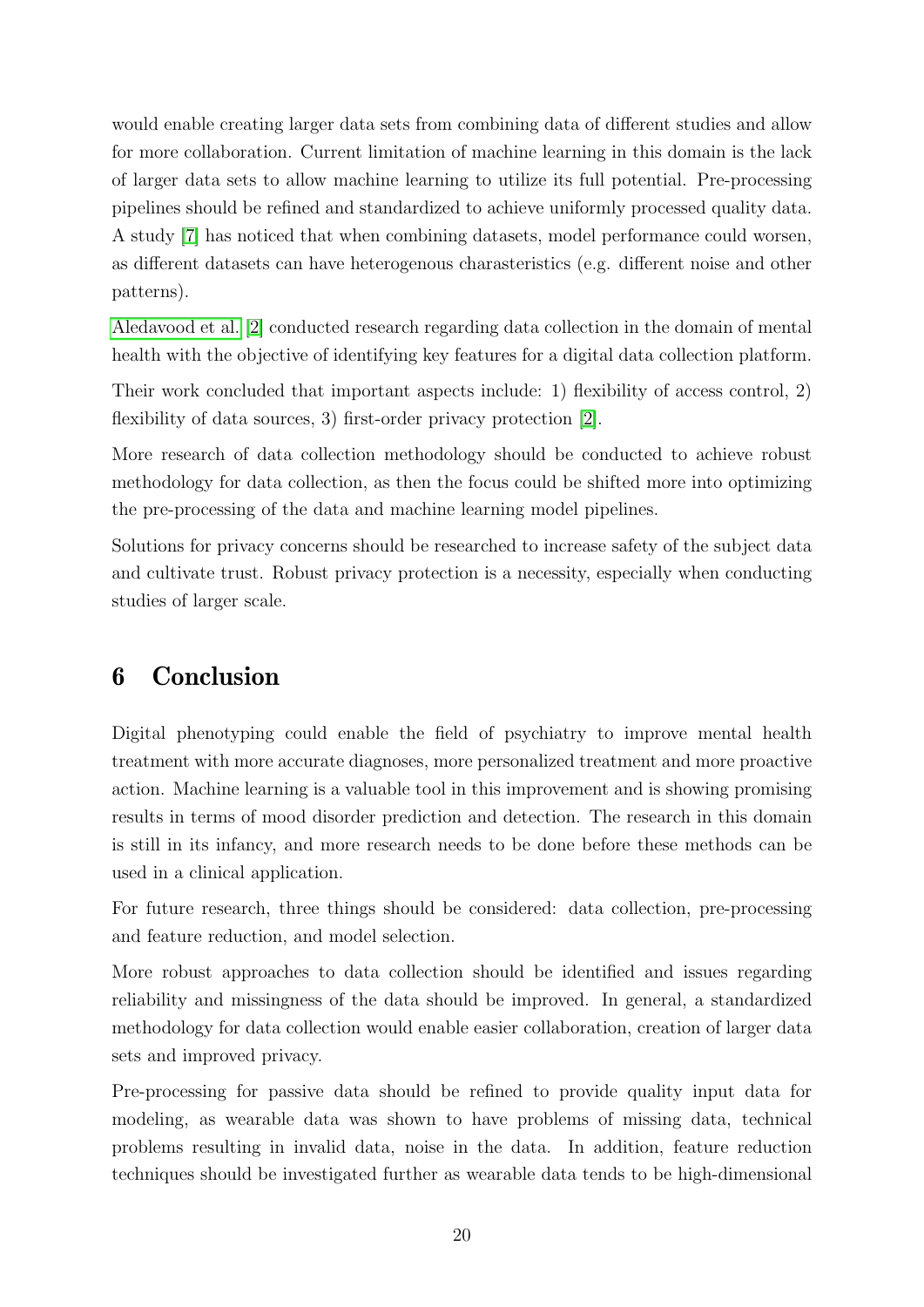would enable creating larger data sets from combining data of different studies and allow for more collaboration. Current limitation of machine learning in this domain is the lack of larger data sets to allow machine learning to utilize its full potential. Pre-processing pipelines should be refined and standardized to achieve uniformly processed quality data. A study [\[7\]](#page-21-4) has noticed that when combining datasets, model performance could worsen, as different datasets can have heterogenous charasteristics (e.g. different noise and other patterns).

[Aledavood et al.](#page-21-7) [\[2\]](#page-21-7) conducted research regarding data collection in the domain of mental health with the objective of identifying key features for a digital data collection platform.

Their work concluded that important aspects include: 1) flexibility of access control, 2) flexibility of data sources, 3) first-order privacy protection [\[2\]](#page-21-7).

More research of data collection methodology should be conducted to achieve robust methodology for data collection, as then the focus could be shifted more into optimizing the pre-processing of the data and machine learning model pipelines.

Solutions for privacy concerns should be researched to increase safety of the subject data and cultivate trust. Robust privacy protection is a necessity, especially when conducting studies of larger scale.

## <span id="page-19-0"></span>6 Conclusion

Digital phenotyping could enable the field of psychiatry to improve mental health treatment with more accurate diagnoses, more personalized treatment and more proactive action. Machine learning is a valuable tool in this improvement and is showing promising results in terms of mood disorder prediction and detection. The research in this domain is still in its infancy, and more research needs to be done before these methods can be used in a clinical application.

For future research, three things should be considered: data collection, pre-processing and feature reduction, and model selection.

More robust approaches to data collection should be identified and issues regarding reliability and missingness of the data should be improved. In general, a standardized methodology for data collection would enable easier collaboration, creation of larger data sets and improved privacy.

Pre-processing for passive data should be refined to provide quality input data for modeling, as wearable data was shown to have problems of missing data, technical problems resulting in invalid data, noise in the data. In addition, feature reduction techniques should be investigated further as wearable data tends to be high-dimensional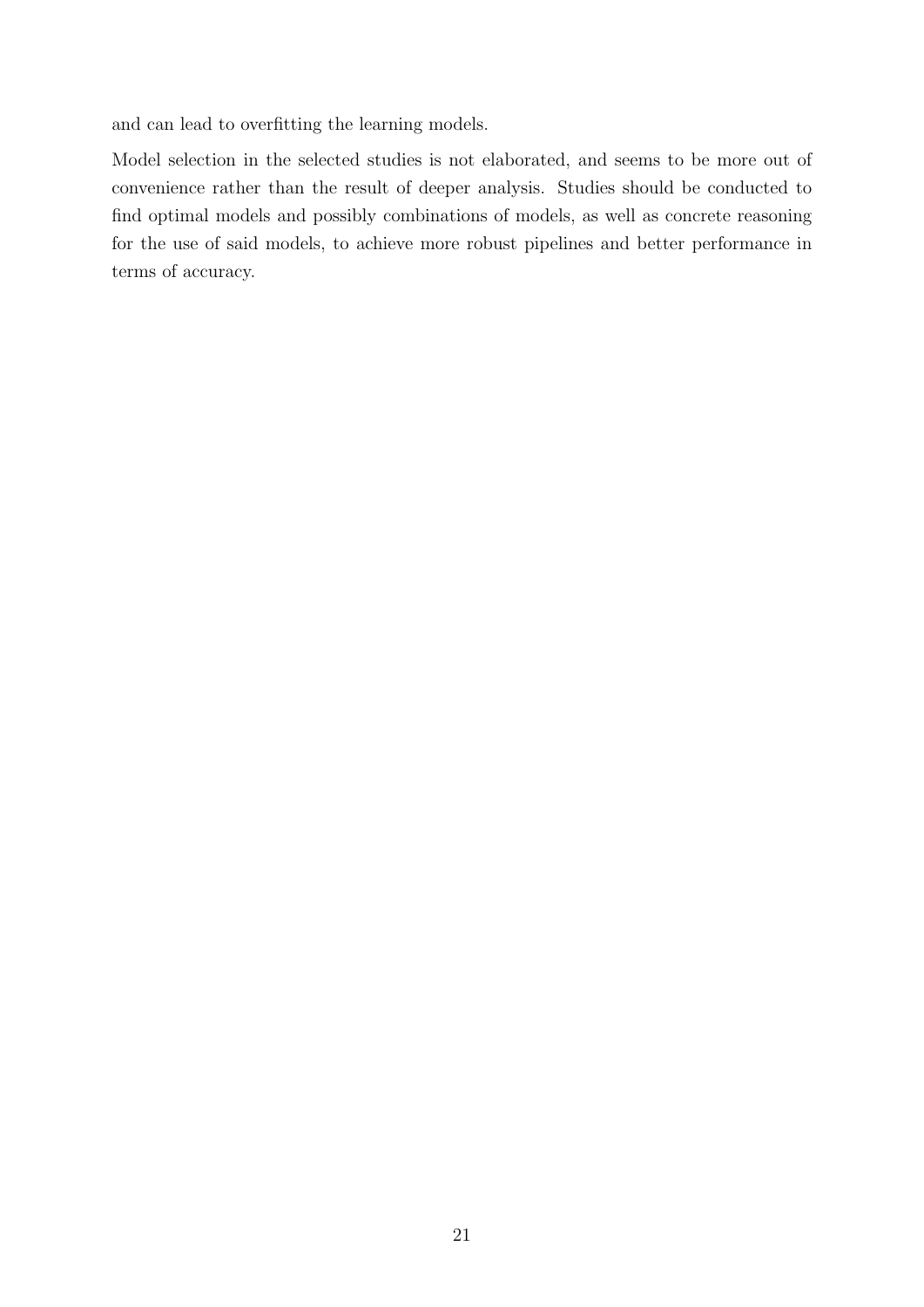and can lead to overfitting the learning models.

Model selection in the selected studies is not elaborated, and seems to be more out of convenience rather than the result of deeper analysis. Studies should be conducted to find optimal models and possibly combinations of models, as well as concrete reasoning for the use of said models, to achieve more robust pipelines and better performance in terms of accuracy.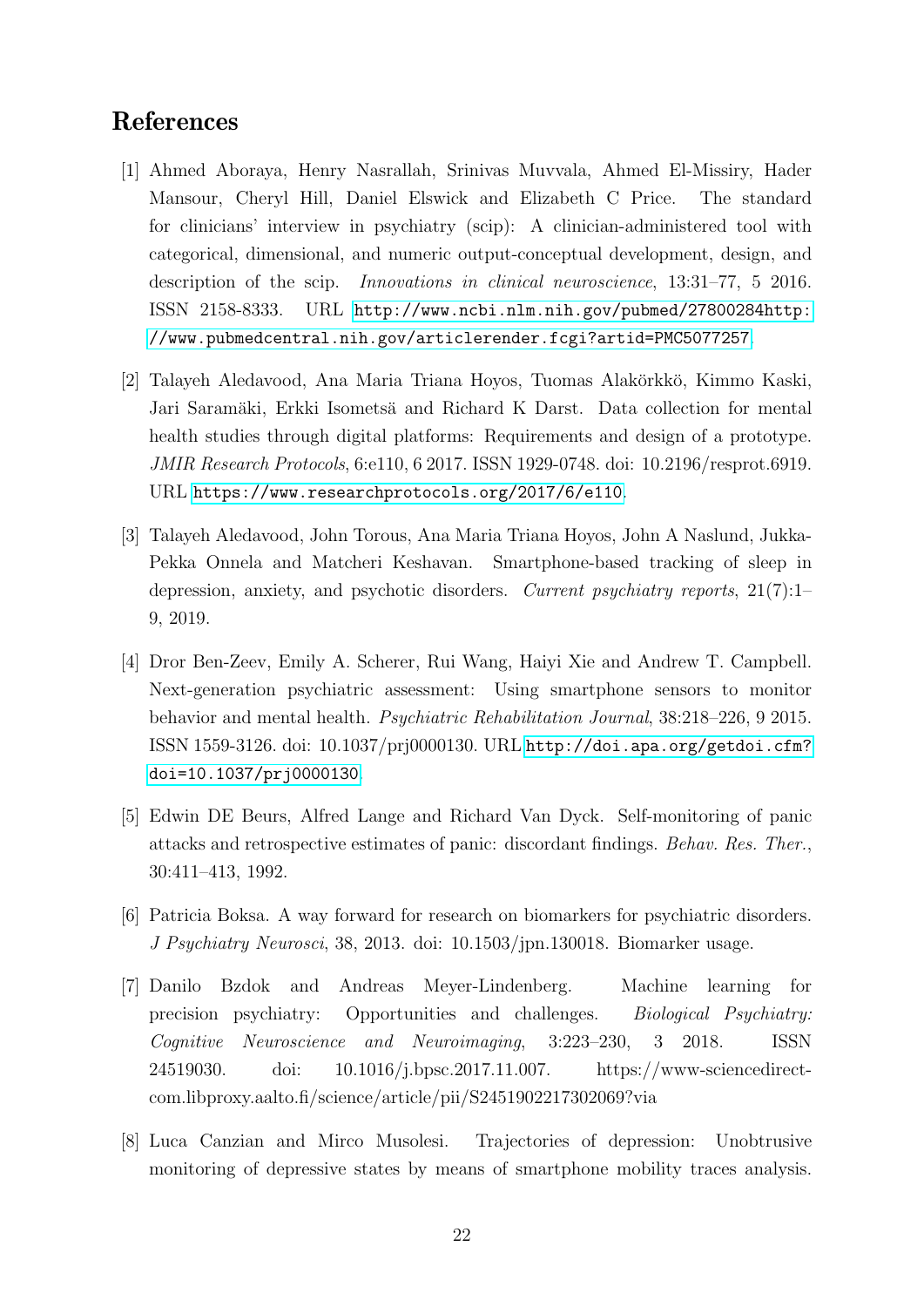## References

- <span id="page-21-2"></span>[1] Ahmed Aboraya, Henry Nasrallah, Srinivas Muvvala, Ahmed El-Missiry, Hader Mansour, Cheryl Hill, Daniel Elswick and Elizabeth C Price. The standard for clinicians' interview in psychiatry (scip): A clinician-administered tool with categorical, dimensional, and numeric output-conceptual development, design, and description of the scip. Innovations in clinical neuroscience, 13:31–77, 5 2016. ISSN 2158-8333. URL [http://www.ncbi.nlm.nih.gov/pubmed/27800284http:](http://www.ncbi.nlm.nih.gov/pubmed/27800284 http://www.pubmedcentral.nih.gov/articlerender.fcgi?artid=PMC5077257) [//www.pubmedcentral.nih.gov/articlerender.fcgi?artid=PMC5077257](http://www.ncbi.nlm.nih.gov/pubmed/27800284 http://www.pubmedcentral.nih.gov/articlerender.fcgi?artid=PMC5077257).
- <span id="page-21-7"></span>[2] Talayeh Aledavood, Ana Maria Triana Hoyos, Tuomas Alakörkkö, Kimmo Kaski, Jari Saramäki, Erkki Isometsä and Richard K Darst. Data collection for mental health studies through digital platforms: Requirements and design of a prototype. JMIR Research Protocols, 6:e110, 6 2017. ISSN 1929-0748. doi: 10.2196/resprot.6919. URL <https://www.researchprotocols.org/2017/6/e110>.
- <span id="page-21-6"></span>[3] Talayeh Aledavood, John Torous, Ana Maria Triana Hoyos, John A Naslund, Jukka-Pekka Onnela and Matcheri Keshavan. Smartphone-based tracking of sleep in depression, anxiety, and psychotic disorders. Current psychiatry reports, 21(7):1– 9, 2019.
- <span id="page-21-3"></span>[4] Dror Ben-Zeev, Emily A. Scherer, Rui Wang, Haiyi Xie and Andrew T. Campbell. Next-generation psychiatric assessment: Using smartphone sensors to monitor behavior and mental health. Psychiatric Rehabilitation Journal, 38:218–226, 9 2015. ISSN 1559-3126. doi: 10.1037/prj0000130. URL [http://doi.apa.org/getdoi.cfm?](http://doi.apa.org/getdoi.cfm?doi=10.1037/prj0000130) [doi=10.1037/prj0000130](http://doi.apa.org/getdoi.cfm?doi=10.1037/prj0000130).
- <span id="page-21-0"></span>[5] Edwin DE Beurs, Alfred Lange and Richard Van Dyck. Self-monitoring of panic attacks and retrospective estimates of panic: discordant findings. Behav. Res. Ther., 30:411–413, 1992.
- <span id="page-21-1"></span>[6] Patricia Boksa. A way forward for research on biomarkers for psychiatric disorders. J Psychiatry Neurosci, 38, 2013. doi: 10.1503/jpn.130018. Biomarker usage.
- <span id="page-21-4"></span>[7] Danilo Bzdok and Andreas Meyer-Lindenberg. Machine learning for precision psychiatry: Opportunities and challenges. Biological Psychiatry: Cognitive Neuroscience and Neuroimaging, 3:223–230, 3 2018. ISSN 24519030. doi: 10.1016/j.bpsc.2017.11.007. https://www-sciencedirectcom.libproxy.aalto.fi/science/article/pii/S2451902217302069?via
- <span id="page-21-5"></span>[8] Luca Canzian and Mirco Musolesi. Trajectories of depression: Unobtrusive monitoring of depressive states by means of smartphone mobility traces analysis.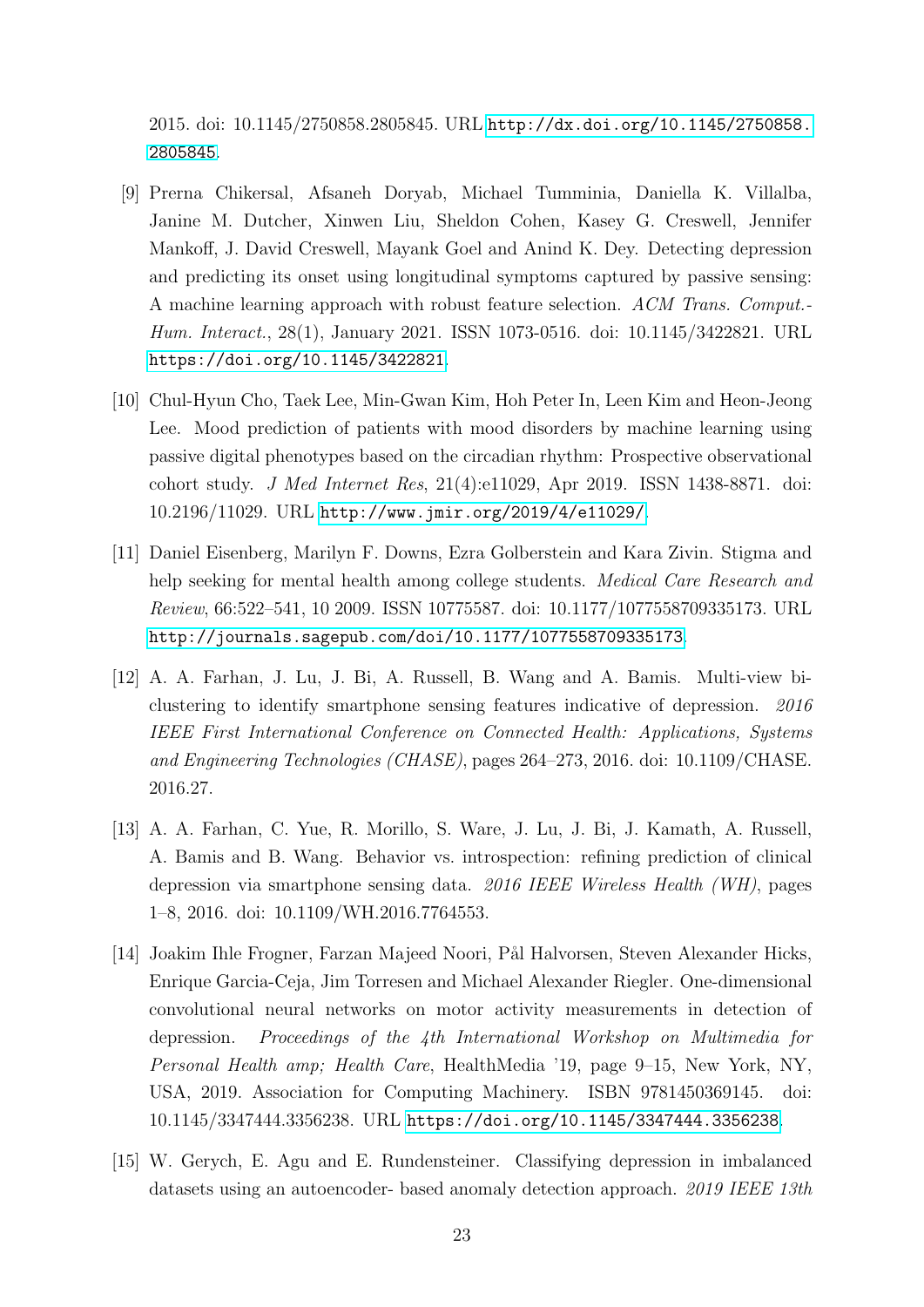2015. doi: 10.1145/2750858.2805845. URL [http://dx.doi.org/10.1145/2750858.](http://dx.doi.org/10.1145/2750858.2805845) [2805845](http://dx.doi.org/10.1145/2750858.2805845).

- <span id="page-22-4"></span>[9] Prerna Chikersal, Afsaneh Doryab, Michael Tumminia, Daniella K. Villalba, Janine M. Dutcher, Xinwen Liu, Sheldon Cohen, Kasey G. Creswell, Jennifer Mankoff, J. David Creswell, Mayank Goel and Anind K. Dey. Detecting depression and predicting its onset using longitudinal symptoms captured by passive sensing: A machine learning approach with robust feature selection. ACM Trans. Comput.- Hum. Interact., 28(1), January 2021. ISSN 1073-0516. doi: 10.1145/3422821. URL <https://doi.org/10.1145/3422821>.
- <span id="page-22-5"></span>[10] Chul-Hyun Cho, Taek Lee, Min-Gwan Kim, Hoh Peter In, Leen Kim and Heon-Jeong Lee. Mood prediction of patients with mood disorders by machine learning using passive digital phenotypes based on the circadian rhythm: Prospective observational cohort study. J Med Internet Res, 21(4):e11029, Apr 2019. ISSN 1438-8871. doi: 10.2196/11029. URL <http://www.jmir.org/2019/4/e11029/>.
- <span id="page-22-0"></span>[11] Daniel Eisenberg, Marilyn F. Downs, Ezra Golberstein and Kara Zivin. Stigma and help seeking for mental health among college students. *Medical Care Research and* Review, 66:522–541, 10 2009. ISSN 10775587. doi: 10.1177/1077558709335173. URL <http://journals.sagepub.com/doi/10.1177/1077558709335173>.
- <span id="page-22-1"></span>[12] A. A. Farhan, J. Lu, J. Bi, A. Russell, B. Wang and A. Bamis. Multi-view biclustering to identify smartphone sensing features indicative of depression. 2016 IEEE First International Conference on Connected Health: Applications, Systems and Engineering Technologies (CHASE), pages 264–273, 2016. doi: 10.1109/CHASE. 2016.27.
- <span id="page-22-6"></span>[13] A. A. Farhan, C. Yue, R. Morillo, S. Ware, J. Lu, J. Bi, J. Kamath, A. Russell, A. Bamis and B. Wang. Behavior vs. introspection: refining prediction of clinical depression via smartphone sensing data. 2016 IEEE Wireless Health (WH), pages 1–8, 2016. doi: 10.1109/WH.2016.7764553.
- <span id="page-22-2"></span>[14] Joakim Ihle Frogner, Farzan Majeed Noori, Pål Halvorsen, Steven Alexander Hicks, Enrique Garcia-Ceja, Jim Torresen and Michael Alexander Riegler. One-dimensional convolutional neural networks on motor activity measurements in detection of depression. Proceedings of the 4th International Workshop on Multimedia for Personal Health amp; Health Care, HealthMedia '19, page 9–15, New York, NY, USA, 2019. Association for Computing Machinery. ISBN 9781450369145. doi: 10.1145/3347444.3356238. URL <https://doi.org/10.1145/3347444.3356238>.
- <span id="page-22-3"></span>[15] W. Gerych, E. Agu and E. Rundensteiner. Classifying depression in imbalanced datasets using an autoencoder- based anomaly detection approach. 2019 IEEE 13th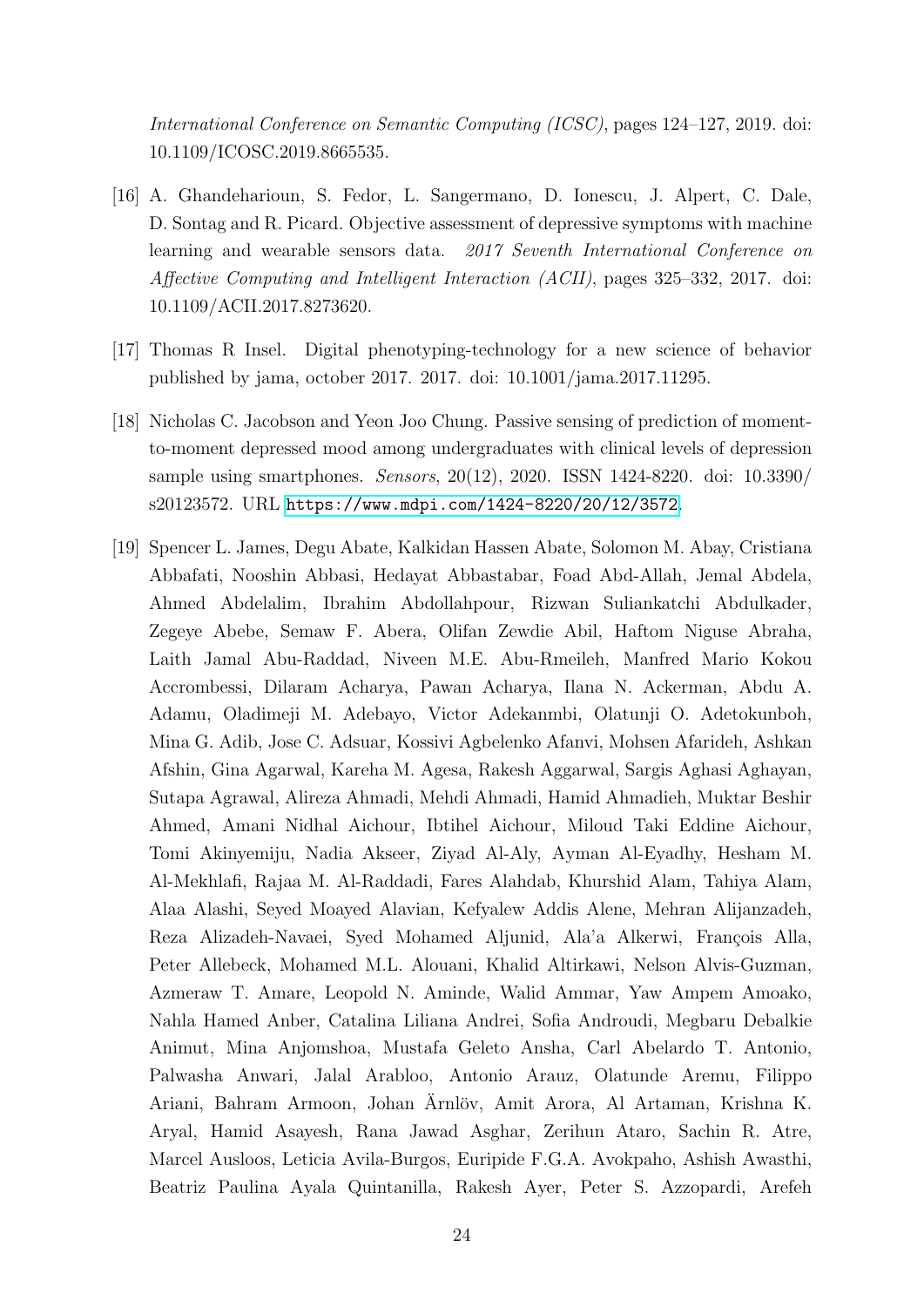International Conference on Semantic Computing (ICSC), pages 124–127, 2019. doi: 10.1109/ICOSC.2019.8665535.

- <span id="page-23-3"></span>[16] A. Ghandeharioun, S. Fedor, L. Sangermano, D. Ionescu, J. Alpert, C. Dale, D. Sontag and R. Picard. Objective assessment of depressive symptoms with machine learning and wearable sensors data. 2017 Seventh International Conference on Affective Computing and Intelligent Interaction (ACII), pages 325–332, 2017. doi: 10.1109/ACII.2017.8273620.
- <span id="page-23-1"></span>[17] Thomas R Insel. Digital phenotyping-technology for a new science of behavior published by jama, october 2017. 2017. doi: 10.1001/jama.2017.11295.
- <span id="page-23-2"></span>[18] Nicholas C. Jacobson and Yeon Joo Chung. Passive sensing of prediction of momentto-moment depressed mood among undergraduates with clinical levels of depression sample using smartphones. Sensors, 20(12), 2020. ISSN 1424-8220. doi: 10.3390/ s20123572. URL <https://www.mdpi.com/1424-8220/20/12/3572>.
- <span id="page-23-0"></span>[19] Spencer L. James, Degu Abate, Kalkidan Hassen Abate, Solomon M. Abay, Cristiana Abbafati, Nooshin Abbasi, Hedayat Abbastabar, Foad Abd-Allah, Jemal Abdela, Ahmed Abdelalim, Ibrahim Abdollahpour, Rizwan Suliankatchi Abdulkader, Zegeye Abebe, Semaw F. Abera, Olifan Zewdie Abil, Haftom Niguse Abraha, Laith Jamal Abu-Raddad, Niveen M.E. Abu-Rmeileh, Manfred Mario Kokou Accrombessi, Dilaram Acharya, Pawan Acharya, Ilana N. Ackerman, Abdu A. Adamu, Oladimeji M. Adebayo, Victor Adekanmbi, Olatunji O. Adetokunboh, Mina G. Adib, Jose C. Adsuar, Kossivi Agbelenko Afanvi, Mohsen Afarideh, Ashkan Afshin, Gina Agarwal, Kareha M. Agesa, Rakesh Aggarwal, Sargis Aghasi Aghayan, Sutapa Agrawal, Alireza Ahmadi, Mehdi Ahmadi, Hamid Ahmadieh, Muktar Beshir Ahmed, Amani Nidhal Aichour, Ibtihel Aichour, Miloud Taki Eddine Aichour, Tomi Akinyemiju, Nadia Akseer, Ziyad Al-Aly, Ayman Al-Eyadhy, Hesham M. Al-Mekhlafi, Rajaa M. Al-Raddadi, Fares Alahdab, Khurshid Alam, Tahiya Alam, Alaa Alashi, Seyed Moayed Alavian, Kefyalew Addis Alene, Mehran Alijanzadeh, Reza Alizadeh-Navaei, Syed Mohamed Aljunid, Ala'a Alkerwi, François Alla, Peter Allebeck, Mohamed M.L. Alouani, Khalid Altirkawi, Nelson Alvis-Guzman, Azmeraw T. Amare, Leopold N. Aminde, Walid Ammar, Yaw Ampem Amoako, Nahla Hamed Anber, Catalina Liliana Andrei, Sofia Androudi, Megbaru Debalkie Animut, Mina Anjomshoa, Mustafa Geleto Ansha, Carl Abelardo T. Antonio, Palwasha Anwari, Jalal Arabloo, Antonio Arauz, Olatunde Aremu, Filippo Ariani, Bahram Armoon, Johan Arnlöv, Amit Arora, Al Artaman, Krishna K. Aryal, Hamid Asayesh, Rana Jawad Asghar, Zerihun Ataro, Sachin R. Atre, Marcel Ausloos, Leticia Avila-Burgos, Euripide F.G.A. Avokpaho, Ashish Awasthi, Beatriz Paulina Ayala Quintanilla, Rakesh Ayer, Peter S. Azzopardi, Arefeh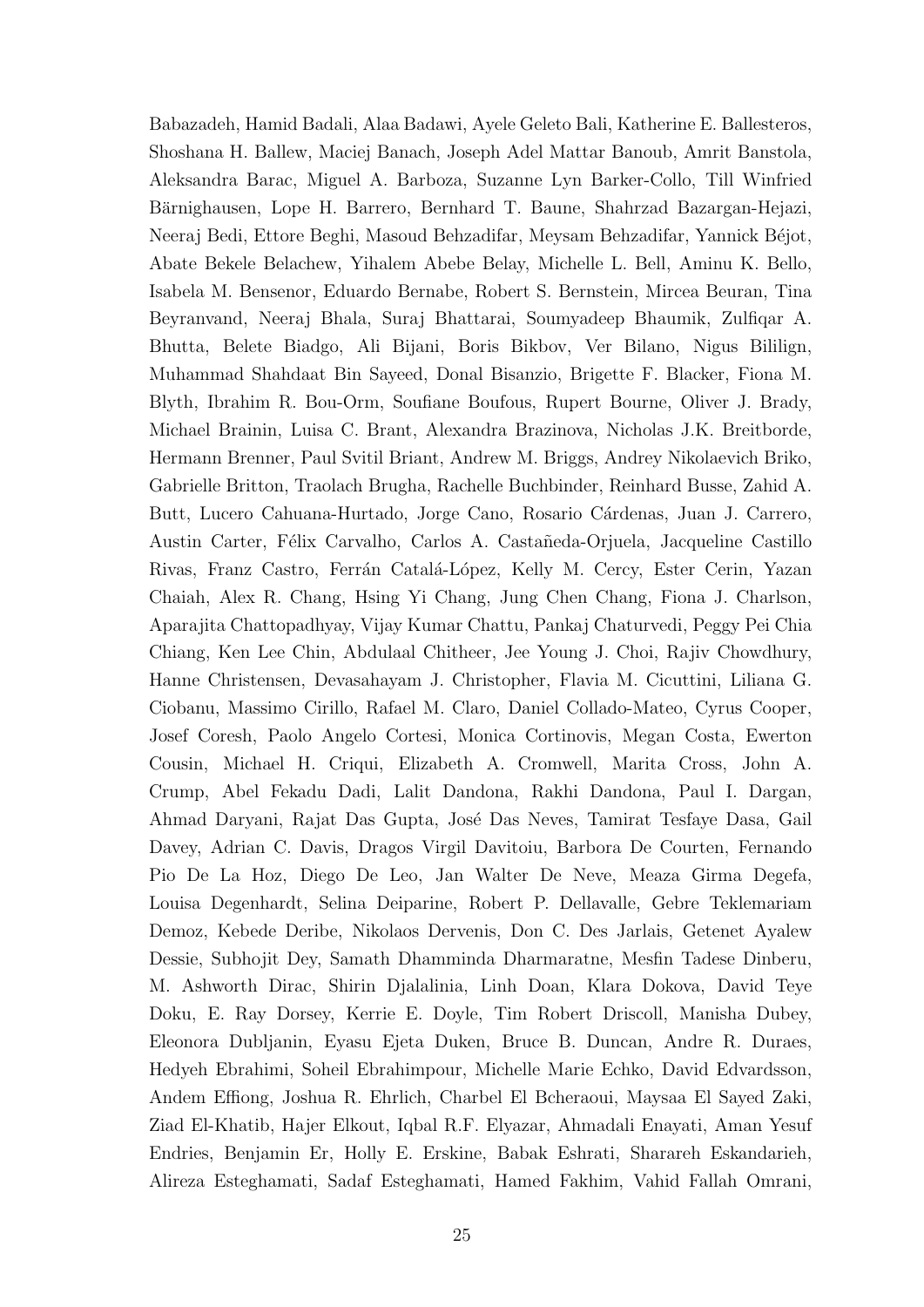Babazadeh, Hamid Badali, Alaa Badawi, Ayele Geleto Bali, Katherine E. Ballesteros, Shoshana H. Ballew, Maciej Banach, Joseph Adel Mattar Banoub, Amrit Banstola, Aleksandra Barac, Miguel A. Barboza, Suzanne Lyn Barker-Collo, Till Winfried Bärnighausen, Lope H. Barrero, Bernhard T. Baune, Shahrzad Bazargan-Hejazi, Neeraj Bedi, Ettore Beghi, Masoud Behzadifar, Meysam Behzadifar, Yannick B´ejot, Abate Bekele Belachew, Yihalem Abebe Belay, Michelle L. Bell, Aminu K. Bello, Isabela M. Bensenor, Eduardo Bernabe, Robert S. Bernstein, Mircea Beuran, Tina Beyranvand, Neeraj Bhala, Suraj Bhattarai, Soumyadeep Bhaumik, Zulfiqar A. Bhutta, Belete Biadgo, Ali Bijani, Boris Bikbov, Ver Bilano, Nigus Bililign, Muhammad Shahdaat Bin Sayeed, Donal Bisanzio, Brigette F. Blacker, Fiona M. Blyth, Ibrahim R. Bou-Orm, Soufiane Boufous, Rupert Bourne, Oliver J. Brady, Michael Brainin, Luisa C. Brant, Alexandra Brazinova, Nicholas J.K. Breitborde, Hermann Brenner, Paul Svitil Briant, Andrew M. Briggs, Andrey Nikolaevich Briko, Gabrielle Britton, Traolach Brugha, Rachelle Buchbinder, Reinhard Busse, Zahid A. Butt, Lucero Cahuana-Hurtado, Jorge Cano, Rosario C´ardenas, Juan J. Carrero, Austin Carter, Félix Carvalho, Carlos A. Castañeda-Orjuela, Jacqueline Castillo Rivas, Franz Castro, Ferrán Catalá-López, Kelly M. Cercy, Ester Cerin, Yazan Chaiah, Alex R. Chang, Hsing Yi Chang, Jung Chen Chang, Fiona J. Charlson, Aparajita Chattopadhyay, Vijay Kumar Chattu, Pankaj Chaturvedi, Peggy Pei Chia Chiang, Ken Lee Chin, Abdulaal Chitheer, Jee Young J. Choi, Rajiv Chowdhury, Hanne Christensen, Devasahayam J. Christopher, Flavia M. Cicuttini, Liliana G. Ciobanu, Massimo Cirillo, Rafael M. Claro, Daniel Collado-Mateo, Cyrus Cooper, Josef Coresh, Paolo Angelo Cortesi, Monica Cortinovis, Megan Costa, Ewerton Cousin, Michael H. Criqui, Elizabeth A. Cromwell, Marita Cross, John A. Crump, Abel Fekadu Dadi, Lalit Dandona, Rakhi Dandona, Paul I. Dargan, Ahmad Daryani, Rajat Das Gupta, José Das Neves, Tamirat Tesfaye Dasa, Gail Davey, Adrian C. Davis, Dragos Virgil Davitoiu, Barbora De Courten, Fernando Pio De La Hoz, Diego De Leo, Jan Walter De Neve, Meaza Girma Degefa, Louisa Degenhardt, Selina Deiparine, Robert P. Dellavalle, Gebre Teklemariam Demoz, Kebede Deribe, Nikolaos Dervenis, Don C. Des Jarlais, Getenet Ayalew Dessie, Subhojit Dey, Samath Dhamminda Dharmaratne, Mesfin Tadese Dinberu, M. Ashworth Dirac, Shirin Djalalinia, Linh Doan, Klara Dokova, David Teye Doku, E. Ray Dorsey, Kerrie E. Doyle, Tim Robert Driscoll, Manisha Dubey, Eleonora Dubljanin, Eyasu Ejeta Duken, Bruce B. Duncan, Andre R. Duraes, Hedyeh Ebrahimi, Soheil Ebrahimpour, Michelle Marie Echko, David Edvardsson, Andem Effiong, Joshua R. Ehrlich, Charbel El Bcheraoui, Maysaa El Sayed Zaki, Ziad El-Khatib, Hajer Elkout, Iqbal R.F. Elyazar, Ahmadali Enayati, Aman Yesuf Endries, Benjamin Er, Holly E. Erskine, Babak Eshrati, Sharareh Eskandarieh, Alireza Esteghamati, Sadaf Esteghamati, Hamed Fakhim, Vahid Fallah Omrani,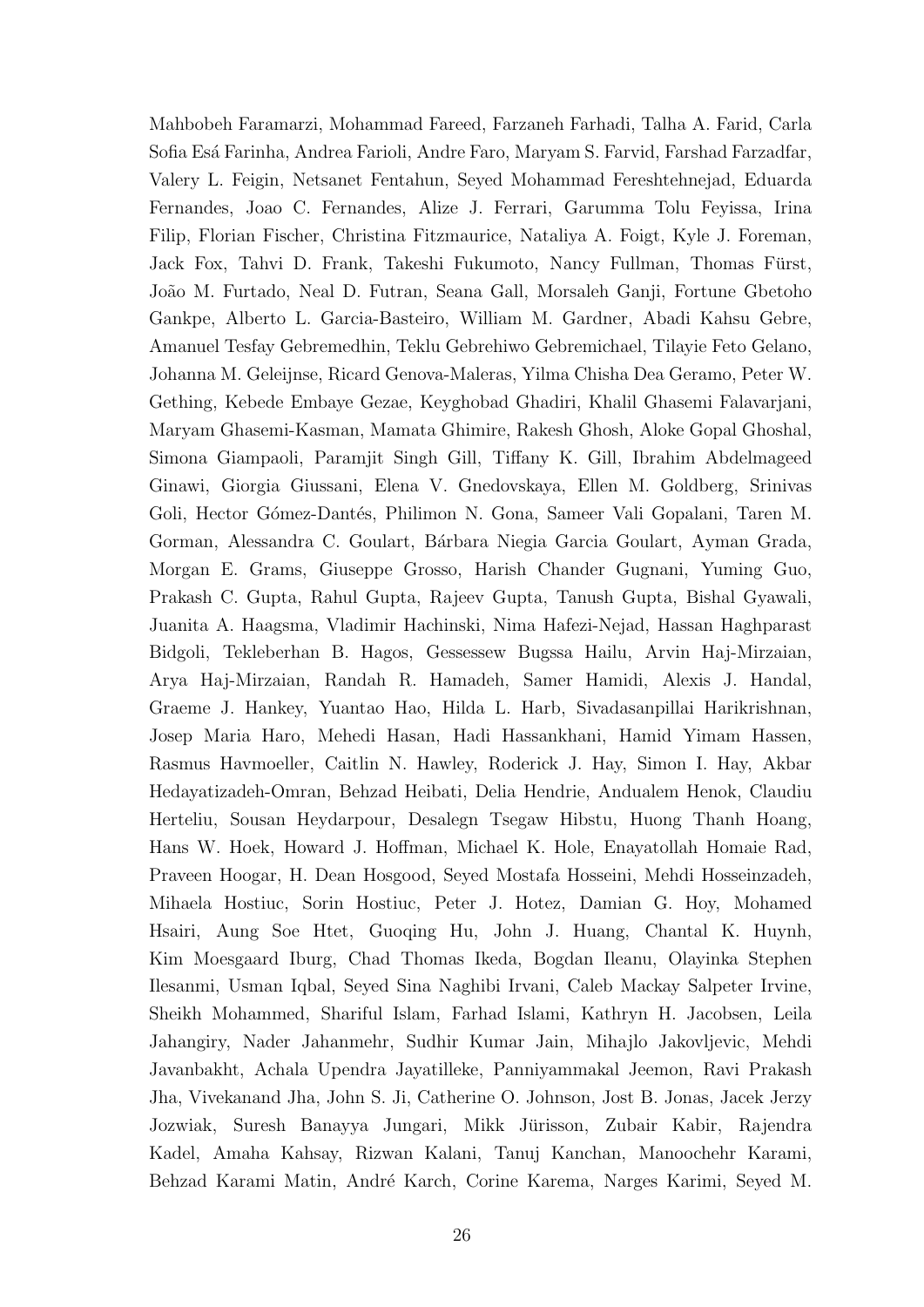Mahbobeh Faramarzi, Mohammad Fareed, Farzaneh Farhadi, Talha A. Farid, Carla Sofia Es´a Farinha, Andrea Farioli, Andre Faro, Maryam S. Farvid, Farshad Farzadfar, Valery L. Feigin, Netsanet Fentahun, Seyed Mohammad Fereshtehnejad, Eduarda Fernandes, Joao C. Fernandes, Alize J. Ferrari, Garumma Tolu Feyissa, Irina Filip, Florian Fischer, Christina Fitzmaurice, Nataliya A. Foigt, Kyle J. Foreman, Jack Fox, Tahvi D. Frank, Takeshi Fukumoto, Nancy Fullman, Thomas Fürst, João M. Furtado, Neal D. Futran, Seana Gall, Morsaleh Ganji, Fortune Gbetoho Gankpe, Alberto L. Garcia-Basteiro, William M. Gardner, Abadi Kahsu Gebre, Amanuel Tesfay Gebremedhin, Teklu Gebrehiwo Gebremichael, Tilayie Feto Gelano, Johanna M. Geleijnse, Ricard Genova-Maleras, Yilma Chisha Dea Geramo, Peter W. Gething, Kebede Embaye Gezae, Keyghobad Ghadiri, Khalil Ghasemi Falavarjani, Maryam Ghasemi-Kasman, Mamata Ghimire, Rakesh Ghosh, Aloke Gopal Ghoshal, Simona Giampaoli, Paramjit Singh Gill, Tiffany K. Gill, Ibrahim Abdelmageed Ginawi, Giorgia Giussani, Elena V. Gnedovskaya, Ellen M. Goldberg, Srinivas Goli, Hector G´omez-Dant´es, Philimon N. Gona, Sameer Vali Gopalani, Taren M. Gorman, Alessandra C. Goulart, Bárbara Niegia Garcia Goulart, Ayman Grada, Morgan E. Grams, Giuseppe Grosso, Harish Chander Gugnani, Yuming Guo, Prakash C. Gupta, Rahul Gupta, Rajeev Gupta, Tanush Gupta, Bishal Gyawali, Juanita A. Haagsma, Vladimir Hachinski, Nima Hafezi-Nejad, Hassan Haghparast Bidgoli, Tekleberhan B. Hagos, Gessessew Bugssa Hailu, Arvin Haj-Mirzaian, Arya Haj-Mirzaian, Randah R. Hamadeh, Samer Hamidi, Alexis J. Handal, Graeme J. Hankey, Yuantao Hao, Hilda L. Harb, Sivadasanpillai Harikrishnan, Josep Maria Haro, Mehedi Hasan, Hadi Hassankhani, Hamid Yimam Hassen, Rasmus Havmoeller, Caitlin N. Hawley, Roderick J. Hay, Simon I. Hay, Akbar Hedayatizadeh-Omran, Behzad Heibati, Delia Hendrie, Andualem Henok, Claudiu Herteliu, Sousan Heydarpour, Desalegn Tsegaw Hibstu, Huong Thanh Hoang, Hans W. Hoek, Howard J. Hoffman, Michael K. Hole, Enayatollah Homaie Rad, Praveen Hoogar, H. Dean Hosgood, Seyed Mostafa Hosseini, Mehdi Hosseinzadeh, Mihaela Hostiuc, Sorin Hostiuc, Peter J. Hotez, Damian G. Hoy, Mohamed Hsairi, Aung Soe Htet, Guoqing Hu, John J. Huang, Chantal K. Huynh, Kim Moesgaard Iburg, Chad Thomas Ikeda, Bogdan Ileanu, Olayinka Stephen Ilesanmi, Usman Iqbal, Seyed Sina Naghibi Irvani, Caleb Mackay Salpeter Irvine, Sheikh Mohammed, Shariful Islam, Farhad Islami, Kathryn H. Jacobsen, Leila Jahangiry, Nader Jahanmehr, Sudhir Kumar Jain, Mihajlo Jakovljevic, Mehdi Javanbakht, Achala Upendra Jayatilleke, Panniyammakal Jeemon, Ravi Prakash Jha, Vivekanand Jha, John S. Ji, Catherine O. Johnson, Jost B. Jonas, Jacek Jerzy Jozwiak, Suresh Banayya Jungari, Mikk Jurisson, Zubair Kabir, Rajendra ¨ Kadel, Amaha Kahsay, Rizwan Kalani, Tanuj Kanchan, Manoochehr Karami, Behzad Karami Matin, Andr´e Karch, Corine Karema, Narges Karimi, Seyed M.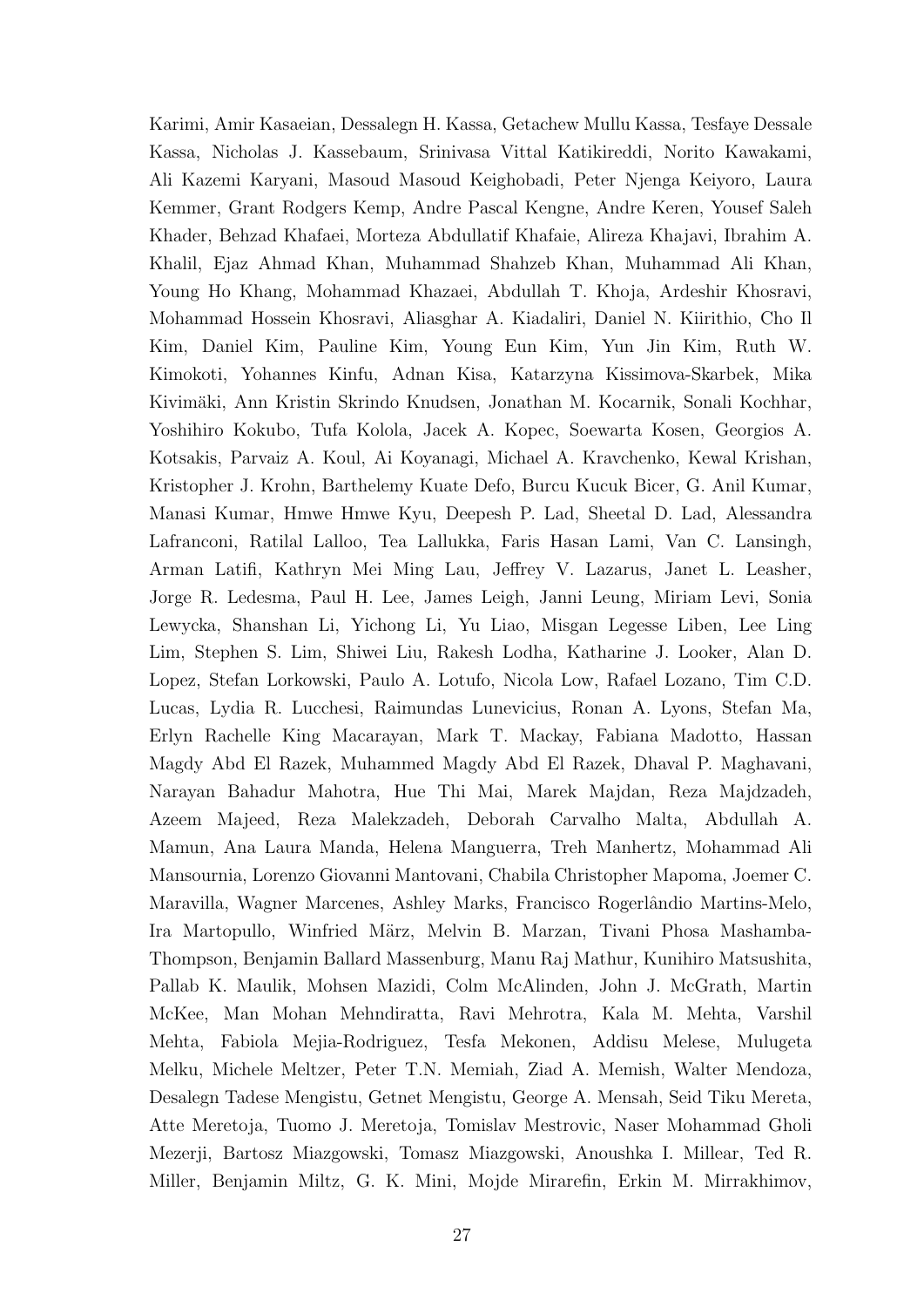Karimi, Amir Kasaeian, Dessalegn H. Kassa, Getachew Mullu Kassa, Tesfaye Dessale Kassa, Nicholas J. Kassebaum, Srinivasa Vittal Katikireddi, Norito Kawakami, Ali Kazemi Karyani, Masoud Masoud Keighobadi, Peter Njenga Keiyoro, Laura Kemmer, Grant Rodgers Kemp, Andre Pascal Kengne, Andre Keren, Yousef Saleh Khader, Behzad Khafaei, Morteza Abdullatif Khafaie, Alireza Khajavi, Ibrahim A. Khalil, Ejaz Ahmad Khan, Muhammad Shahzeb Khan, Muhammad Ali Khan, Young Ho Khang, Mohammad Khazaei, Abdullah T. Khoja, Ardeshir Khosravi, Mohammad Hossein Khosravi, Aliasghar A. Kiadaliri, Daniel N. Kiirithio, Cho Il Kim, Daniel Kim, Pauline Kim, Young Eun Kim, Yun Jin Kim, Ruth W. Kimokoti, Yohannes Kinfu, Adnan Kisa, Katarzyna Kissimova-Skarbek, Mika Kivimäki, Ann Kristin Skrindo Knudsen, Jonathan M. Kocarnik, Sonali Kochhar, Yoshihiro Kokubo, Tufa Kolola, Jacek A. Kopec, Soewarta Kosen, Georgios A. Kotsakis, Parvaiz A. Koul, Ai Koyanagi, Michael A. Kravchenko, Kewal Krishan, Kristopher J. Krohn, Barthelemy Kuate Defo, Burcu Kucuk Bicer, G. Anil Kumar, Manasi Kumar, Hmwe Hmwe Kyu, Deepesh P. Lad, Sheetal D. Lad, Alessandra Lafranconi, Ratilal Lalloo, Tea Lallukka, Faris Hasan Lami, Van C. Lansingh, Arman Latifi, Kathryn Mei Ming Lau, Jeffrey V. Lazarus, Janet L. Leasher, Jorge R. Ledesma, Paul H. Lee, James Leigh, Janni Leung, Miriam Levi, Sonia Lewycka, Shanshan Li, Yichong Li, Yu Liao, Misgan Legesse Liben, Lee Ling Lim, Stephen S. Lim, Shiwei Liu, Rakesh Lodha, Katharine J. Looker, Alan D. Lopez, Stefan Lorkowski, Paulo A. Lotufo, Nicola Low, Rafael Lozano, Tim C.D. Lucas, Lydia R. Lucchesi, Raimundas Lunevicius, Ronan A. Lyons, Stefan Ma, Erlyn Rachelle King Macarayan, Mark T. Mackay, Fabiana Madotto, Hassan Magdy Abd El Razek, Muhammed Magdy Abd El Razek, Dhaval P. Maghavani, Narayan Bahadur Mahotra, Hue Thi Mai, Marek Majdan, Reza Majdzadeh, Azeem Majeed, Reza Malekzadeh, Deborah Carvalho Malta, Abdullah A. Mamun, Ana Laura Manda, Helena Manguerra, Treh Manhertz, Mohammad Ali Mansournia, Lorenzo Giovanni Mantovani, Chabila Christopher Mapoma, Joemer C. Maravilla, Wagner Marcenes, Ashley Marks, Francisco Rogerlândio Martins-Melo, Ira Martopullo, Winfried März, Melvin B. Marzan, Tivani Phosa Mashamba-Thompson, Benjamin Ballard Massenburg, Manu Raj Mathur, Kunihiro Matsushita, Pallab K. Maulik, Mohsen Mazidi, Colm McAlinden, John J. McGrath, Martin McKee, Man Mohan Mehndiratta, Ravi Mehrotra, Kala M. Mehta, Varshil Mehta, Fabiola Mejia-Rodriguez, Tesfa Mekonen, Addisu Melese, Mulugeta Melku, Michele Meltzer, Peter T.N. Memiah, Ziad A. Memish, Walter Mendoza, Desalegn Tadese Mengistu, Getnet Mengistu, George A. Mensah, Seid Tiku Mereta, Atte Meretoja, Tuomo J. Meretoja, Tomislav Mestrovic, Naser Mohammad Gholi Mezerji, Bartosz Miazgowski, Tomasz Miazgowski, Anoushka I. Millear, Ted R. Miller, Benjamin Miltz, G. K. Mini, Mojde Mirarefin, Erkin M. Mirrakhimov,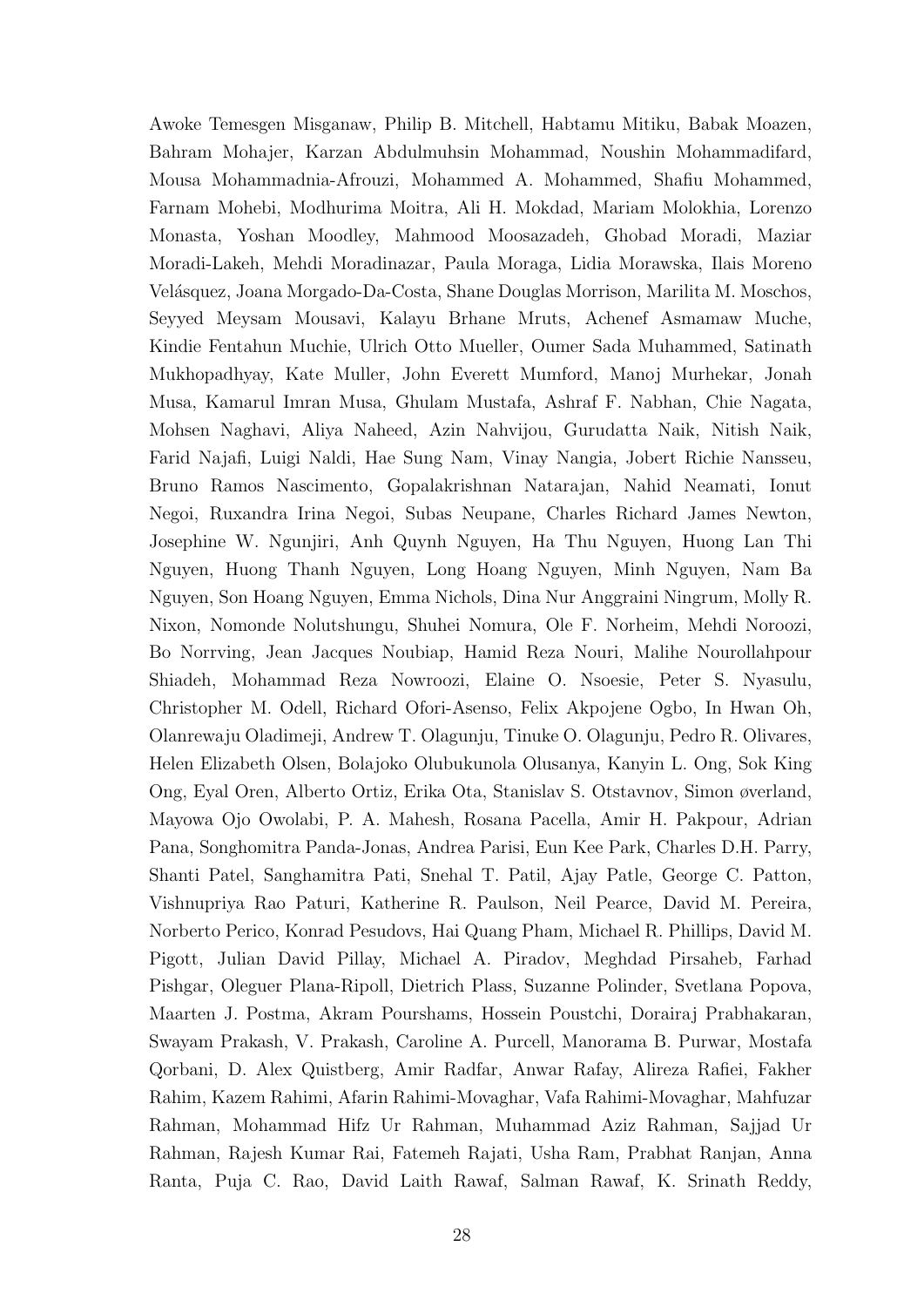Awoke Temesgen Misganaw, Philip B. Mitchell, Habtamu Mitiku, Babak Moazen, Bahram Mohajer, Karzan Abdulmuhsin Mohammad, Noushin Mohammadifard, Mousa Mohammadnia-Afrouzi, Mohammed A. Mohammed, Shafiu Mohammed, Farnam Mohebi, Modhurima Moitra, Ali H. Mokdad, Mariam Molokhia, Lorenzo Monasta, Yoshan Moodley, Mahmood Moosazadeh, Ghobad Moradi, Maziar Moradi-Lakeh, Mehdi Moradinazar, Paula Moraga, Lidia Morawska, Ilais Moreno Velásquez, Joana Morgado-Da-Costa, Shane Douglas Morrison, Marilita M. Moschos, Seyyed Meysam Mousavi, Kalayu Brhane Mruts, Achenef Asmamaw Muche, Kindie Fentahun Muchie, Ulrich Otto Mueller, Oumer Sada Muhammed, Satinath Mukhopadhyay, Kate Muller, John Everett Mumford, Manoj Murhekar, Jonah Musa, Kamarul Imran Musa, Ghulam Mustafa, Ashraf F. Nabhan, Chie Nagata, Mohsen Naghavi, Aliya Naheed, Azin Nahvijou, Gurudatta Naik, Nitish Naik, Farid Najafi, Luigi Naldi, Hae Sung Nam, Vinay Nangia, Jobert Richie Nansseu, Bruno Ramos Nascimento, Gopalakrishnan Natarajan, Nahid Neamati, Ionut Negoi, Ruxandra Irina Negoi, Subas Neupane, Charles Richard James Newton, Josephine W. Ngunjiri, Anh Quynh Nguyen, Ha Thu Nguyen, Huong Lan Thi Nguyen, Huong Thanh Nguyen, Long Hoang Nguyen, Minh Nguyen, Nam Ba Nguyen, Son Hoang Nguyen, Emma Nichols, Dina Nur Anggraini Ningrum, Molly R. Nixon, Nomonde Nolutshungu, Shuhei Nomura, Ole F. Norheim, Mehdi Noroozi, Bo Norrving, Jean Jacques Noubiap, Hamid Reza Nouri, Malihe Nourollahpour Shiadeh, Mohammad Reza Nowroozi, Elaine O. Nsoesie, Peter S. Nyasulu, Christopher M. Odell, Richard Ofori-Asenso, Felix Akpojene Ogbo, In Hwan Oh, Olanrewaju Oladimeji, Andrew T. Olagunju, Tinuke O. Olagunju, Pedro R. Olivares, Helen Elizabeth Olsen, Bolajoko Olubukunola Olusanya, Kanyin L. Ong, Sok King Ong, Eyal Oren, Alberto Ortiz, Erika Ota, Stanislav S. Otstavnov, Simon øverland, Mayowa Ojo Owolabi, P. A. Mahesh, Rosana Pacella, Amir H. Pakpour, Adrian Pana, Songhomitra Panda-Jonas, Andrea Parisi, Eun Kee Park, Charles D.H. Parry, Shanti Patel, Sanghamitra Pati, Snehal T. Patil, Ajay Patle, George C. Patton, Vishnupriya Rao Paturi, Katherine R. Paulson, Neil Pearce, David M. Pereira, Norberto Perico, Konrad Pesudovs, Hai Quang Pham, Michael R. Phillips, David M. Pigott, Julian David Pillay, Michael A. Piradov, Meghdad Pirsaheb, Farhad Pishgar, Oleguer Plana-Ripoll, Dietrich Plass, Suzanne Polinder, Svetlana Popova, Maarten J. Postma, Akram Pourshams, Hossein Poustchi, Dorairaj Prabhakaran, Swayam Prakash, V. Prakash, Caroline A. Purcell, Manorama B. Purwar, Mostafa Qorbani, D. Alex Quistberg, Amir Radfar, Anwar Rafay, Alireza Rafiei, Fakher Rahim, Kazem Rahimi, Afarin Rahimi-Movaghar, Vafa Rahimi-Movaghar, Mahfuzar Rahman, Mohammad Hifz Ur Rahman, Muhammad Aziz Rahman, Sajjad Ur Rahman, Rajesh Kumar Rai, Fatemeh Rajati, Usha Ram, Prabhat Ranjan, Anna Ranta, Puja C. Rao, David Laith Rawaf, Salman Rawaf, K. Srinath Reddy,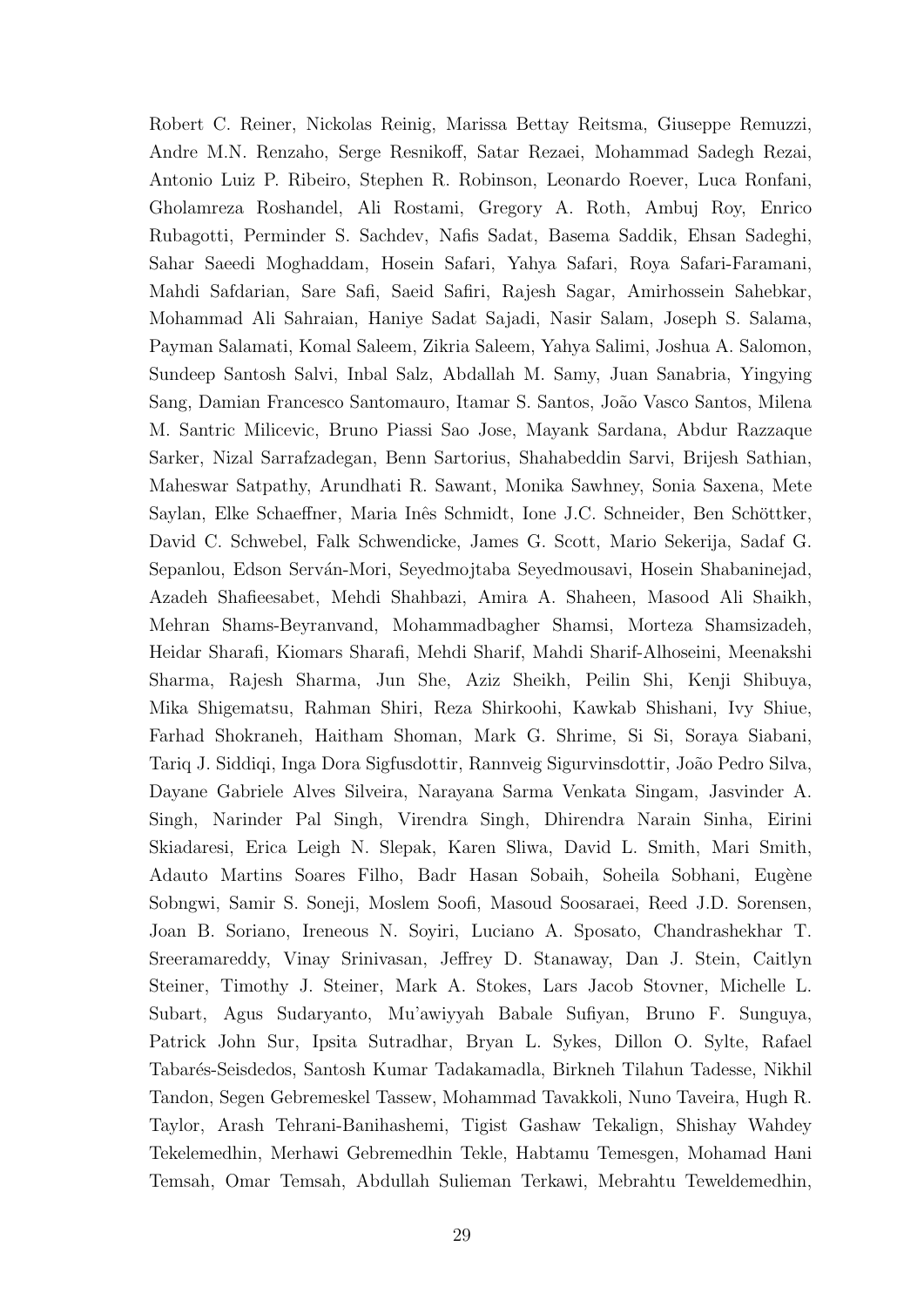Robert C. Reiner, Nickolas Reinig, Marissa Bettay Reitsma, Giuseppe Remuzzi, Andre M.N. Renzaho, Serge Resnikoff, Satar Rezaei, Mohammad Sadegh Rezai, Antonio Luiz P. Ribeiro, Stephen R. Robinson, Leonardo Roever, Luca Ronfani, Gholamreza Roshandel, Ali Rostami, Gregory A. Roth, Ambuj Roy, Enrico Rubagotti, Perminder S. Sachdev, Nafis Sadat, Basema Saddik, Ehsan Sadeghi, Sahar Saeedi Moghaddam, Hosein Safari, Yahya Safari, Roya Safari-Faramani, Mahdi Safdarian, Sare Safi, Saeid Safiri, Rajesh Sagar, Amirhossein Sahebkar, Mohammad Ali Sahraian, Haniye Sadat Sajadi, Nasir Salam, Joseph S. Salama, Payman Salamati, Komal Saleem, Zikria Saleem, Yahya Salimi, Joshua A. Salomon, Sundeep Santosh Salvi, Inbal Salz, Abdallah M. Samy, Juan Sanabria, Yingying Sang, Damian Francesco Santomauro, Itamar S. Santos, João Vasco Santos, Milena M. Santric Milicevic, Bruno Piassi Sao Jose, Mayank Sardana, Abdur Razzaque Sarker, Nizal Sarrafzadegan, Benn Sartorius, Shahabeddin Sarvi, Brijesh Sathian, Maheswar Satpathy, Arundhati R. Sawant, Monika Sawhney, Sonia Saxena, Mete Saylan, Elke Schaeffner, Maria Inês Schmidt, Ione J.C. Schneider, Ben Schöttker, David C. Schwebel, Falk Schwendicke, James G. Scott, Mario Sekerija, Sadaf G. Sepanlou, Edson Serv´an-Mori, Seyedmojtaba Seyedmousavi, Hosein Shabaninejad, Azadeh Shafieesabet, Mehdi Shahbazi, Amira A. Shaheen, Masood Ali Shaikh, Mehran Shams-Beyranvand, Mohammadbagher Shamsi, Morteza Shamsizadeh, Heidar Sharafi, Kiomars Sharafi, Mehdi Sharif, Mahdi Sharif-Alhoseini, Meenakshi Sharma, Rajesh Sharma, Jun She, Aziz Sheikh, Peilin Shi, Kenji Shibuya, Mika Shigematsu, Rahman Shiri, Reza Shirkoohi, Kawkab Shishani, Ivy Shiue, Farhad Shokraneh, Haitham Shoman, Mark G. Shrime, Si Si, Soraya Siabani, Tariq J. Siddiqi, Inga Dora Sigfusdottir, Rannveig Sigurvinsdottir, Jo˜ao Pedro Silva, Dayane Gabriele Alves Silveira, Narayana Sarma Venkata Singam, Jasvinder A. Singh, Narinder Pal Singh, Virendra Singh, Dhirendra Narain Sinha, Eirini Skiadaresi, Erica Leigh N. Slepak, Karen Sliwa, David L. Smith, Mari Smith, Adauto Martins Soares Filho, Badr Hasan Sobaih, Soheila Sobhani, Eugène Sobngwi, Samir S. Soneji, Moslem Soofi, Masoud Soosaraei, Reed J.D. Sorensen, Joan B. Soriano, Ireneous N. Soyiri, Luciano A. Sposato, Chandrashekhar T. Sreeramareddy, Vinay Srinivasan, Jeffrey D. Stanaway, Dan J. Stein, Caitlyn Steiner, Timothy J. Steiner, Mark A. Stokes, Lars Jacob Stovner, Michelle L. Subart, Agus Sudaryanto, Mu'awiyyah Babale Sufiyan, Bruno F. Sunguya, Patrick John Sur, Ipsita Sutradhar, Bryan L. Sykes, Dillon O. Sylte, Rafael Tabar´es-Seisdedos, Santosh Kumar Tadakamadla, Birkneh Tilahun Tadesse, Nikhil Tandon, Segen Gebremeskel Tassew, Mohammad Tavakkoli, Nuno Taveira, Hugh R. Taylor, Arash Tehrani-Banihashemi, Tigist Gashaw Tekalign, Shishay Wahdey Tekelemedhin, Merhawi Gebremedhin Tekle, Habtamu Temesgen, Mohamad Hani Temsah, Omar Temsah, Abdullah Sulieman Terkawi, Mebrahtu Teweldemedhin,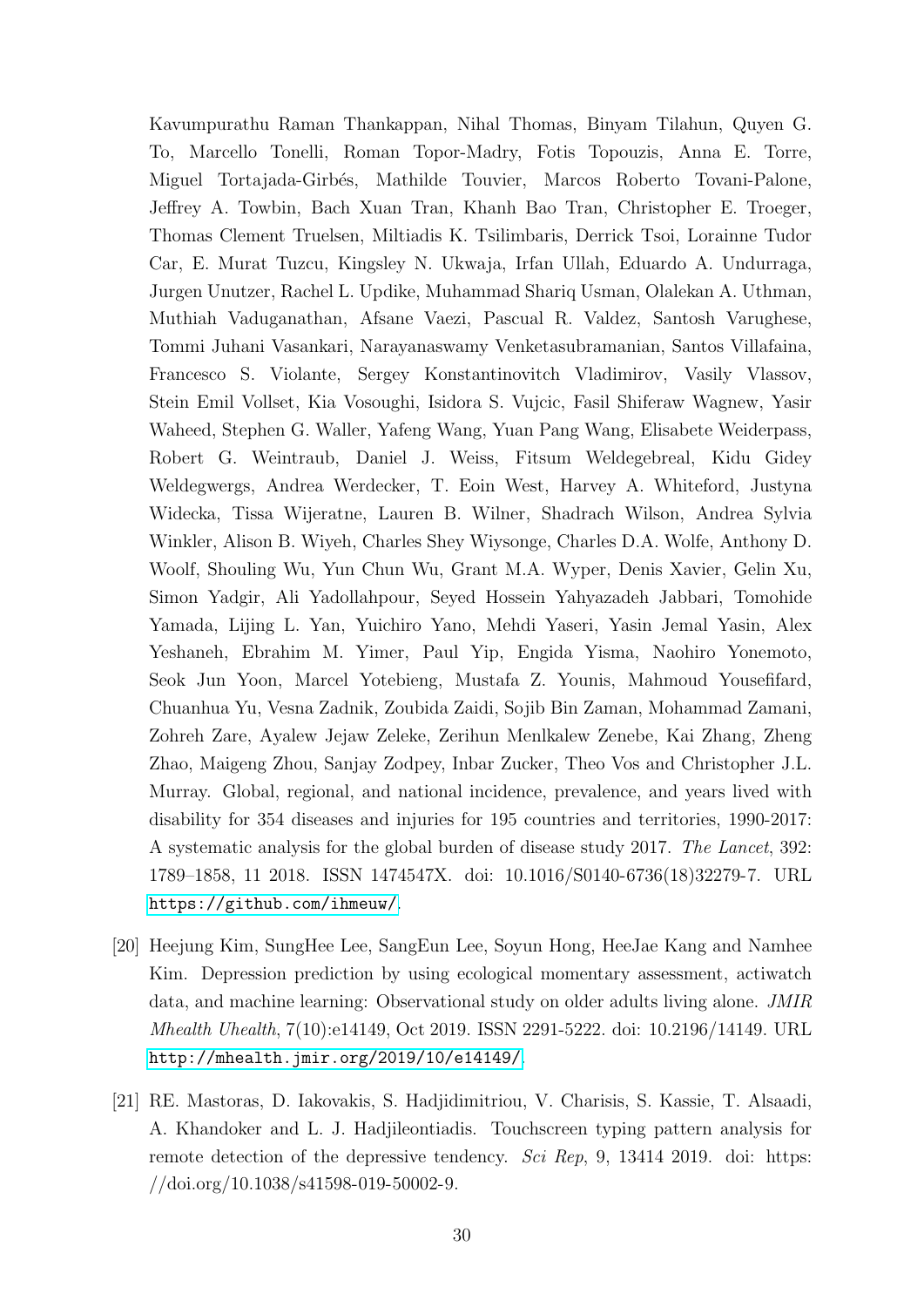Kavumpurathu Raman Thankappan, Nihal Thomas, Binyam Tilahun, Quyen G. To, Marcello Tonelli, Roman Topor-Madry, Fotis Topouzis, Anna E. Torre, Miguel Tortajada-Girbés, Mathilde Touvier, Marcos Roberto Tovani-Palone, Jeffrey A. Towbin, Bach Xuan Tran, Khanh Bao Tran, Christopher E. Troeger, Thomas Clement Truelsen, Miltiadis K. Tsilimbaris, Derrick Tsoi, Lorainne Tudor Car, E. Murat Tuzcu, Kingsley N. Ukwaja, Irfan Ullah, Eduardo A. Undurraga, Jurgen Unutzer, Rachel L. Updike, Muhammad Shariq Usman, Olalekan A. Uthman, Muthiah Vaduganathan, Afsane Vaezi, Pascual R. Valdez, Santosh Varughese, Tommi Juhani Vasankari, Narayanaswamy Venketasubramanian, Santos Villafaina, Francesco S. Violante, Sergey Konstantinovitch Vladimirov, Vasily Vlassov, Stein Emil Vollset, Kia Vosoughi, Isidora S. Vujcic, Fasil Shiferaw Wagnew, Yasir Waheed, Stephen G. Waller, Yafeng Wang, Yuan Pang Wang, Elisabete Weiderpass, Robert G. Weintraub, Daniel J. Weiss, Fitsum Weldegebreal, Kidu Gidey Weldegwergs, Andrea Werdecker, T. Eoin West, Harvey A. Whiteford, Justyna Widecka, Tissa Wijeratne, Lauren B. Wilner, Shadrach Wilson, Andrea Sylvia Winkler, Alison B. Wiyeh, Charles Shey Wiysonge, Charles D.A. Wolfe, Anthony D. Woolf, Shouling Wu, Yun Chun Wu, Grant M.A. Wyper, Denis Xavier, Gelin Xu, Simon Yadgir, Ali Yadollahpour, Seyed Hossein Yahyazadeh Jabbari, Tomohide Yamada, Lijing L. Yan, Yuichiro Yano, Mehdi Yaseri, Yasin Jemal Yasin, Alex Yeshaneh, Ebrahim M. Yimer, Paul Yip, Engida Yisma, Naohiro Yonemoto, Seok Jun Yoon, Marcel Yotebieng, Mustafa Z. Younis, Mahmoud Yousefifard, Chuanhua Yu, Vesna Zadnik, Zoubida Zaidi, Sojib Bin Zaman, Mohammad Zamani, Zohreh Zare, Ayalew Jejaw Zeleke, Zerihun Menlkalew Zenebe, Kai Zhang, Zheng Zhao, Maigeng Zhou, Sanjay Zodpey, Inbar Zucker, Theo Vos and Christopher J.L. Murray. Global, regional, and national incidence, prevalence, and years lived with disability for 354 diseases and injuries for 195 countries and territories, 1990-2017: A systematic analysis for the global burden of disease study 2017. The Lancet, 392: 1789–1858, 11 2018. ISSN 1474547X. doi: 10.1016/S0140-6736(18)32279-7. URL <https://github.com/ihmeuw/>.

- <span id="page-29-1"></span>[20] Heejung Kim, SungHee Lee, SangEun Lee, Soyun Hong, HeeJae Kang and Namhee Kim. Depression prediction by using ecological momentary assessment, actiwatch data, and machine learning: Observational study on older adults living alone. JMIR Mhealth Uhealth, 7(10):e14149, Oct 2019. ISSN 2291-5222. doi: 10.2196/14149. URL <http://mhealth.jmir.org/2019/10/e14149/>.
- <span id="page-29-0"></span>[21] RE. Mastoras, D. Iakovakis, S. Hadjidimitriou, V. Charisis, S. Kassie, T. Alsaadi, A. Khandoker and L. J. Hadjileontiadis. Touchscreen typing pattern analysis for remote detection of the depressive tendency. Sci Rep, 9, 13414 2019. doi: https:  $// doi.org/10.1038/s41598-019-50002-9.$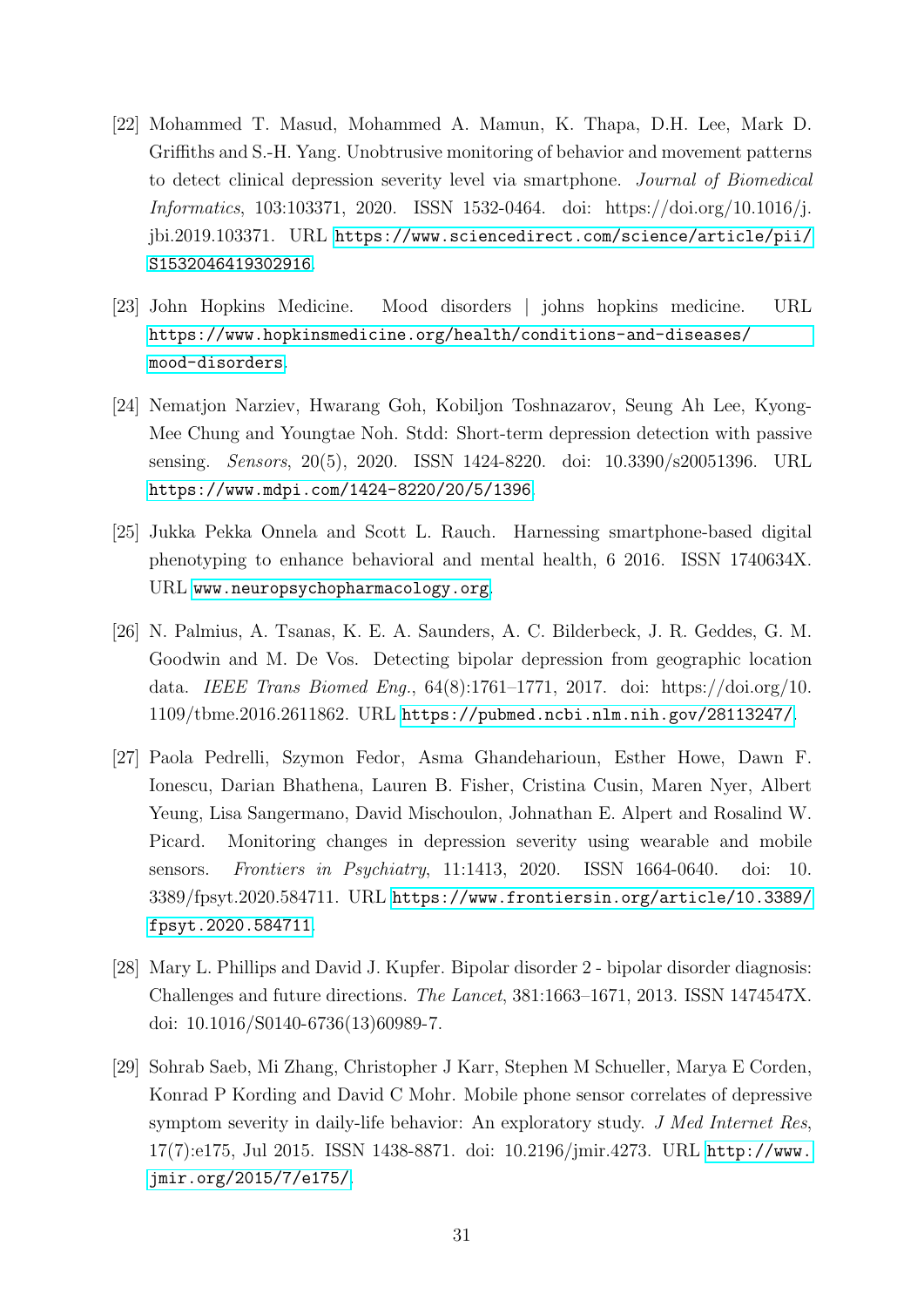- <span id="page-30-5"></span>[22] Mohammed T. Masud, Mohammed A. Mamun, K. Thapa, D.H. Lee, Mark D. Griffiths and S.-H. Yang. Unobtrusive monitoring of behavior and movement patterns to detect clinical depression severity level via smartphone. Journal of Biomedical Informatics, 103:103371, 2020. ISSN 1532-0464. doi: https://doi.org/10.1016/j. jbi.2019.103371. URL [https://www.sciencedirect.com/science/article/pii/](https://www.sciencedirect.com/science/article/pii/S1532046419302916) [S1532046419302916](https://www.sciencedirect.com/science/article/pii/S1532046419302916).
- <span id="page-30-2"></span>[23] John Hopkins Medicine. Mood disorders | johns hopkins medicine. URL [https://www.hopkinsmedicine.org/health/conditions-and-diseases/](https://www.hopkinsmedicine.org/health/conditions-and-diseases/mood-disorders) [mood-disorders](https://www.hopkinsmedicine.org/health/conditions-and-diseases/mood-disorders).
- <span id="page-30-4"></span>[24] Nematjon Narziev, Hwarang Goh, Kobiljon Toshnazarov, Seung Ah Lee, Kyong-Mee Chung and Youngtae Noh. Stdd: Short-term depression detection with passive sensing. Sensors, 20(5), 2020. ISSN 1424-8220. doi: 10.3390/s20051396. URL <https://www.mdpi.com/1424-8220/20/5/1396>.
- <span id="page-30-1"></span>[25] Jukka Pekka Onnela and Scott L. Rauch. Harnessing smartphone-based digital phenotyping to enhance behavioral and mental health, 6 2016. ISSN 1740634X. URL <www.neuropsychopharmacology.org>.
- <span id="page-30-7"></span>[26] N. Palmius, A. Tsanas, K. E. A. Saunders, A. C. Bilderbeck, J. R. Geddes, G. M. Goodwin and M. De Vos. Detecting bipolar depression from geographic location data. IEEE Trans Biomed Eng., 64(8):1761–1771, 2017. doi: https://doi.org/10. 1109/tbme.2016.2611862. URL <https://pubmed.ncbi.nlm.nih.gov/28113247/>.
- <span id="page-30-3"></span>[27] Paola Pedrelli, Szymon Fedor, Asma Ghandeharioun, Esther Howe, Dawn F. Ionescu, Darian Bhathena, Lauren B. Fisher, Cristina Cusin, Maren Nyer, Albert Yeung, Lisa Sangermano, David Mischoulon, Johnathan E. Alpert and Rosalind W. Picard. Monitoring changes in depression severity using wearable and mobile sensors. Frontiers in Psychiatry, 11:1413, 2020. ISSN 1664-0640. doi: 10. 3389/fpsyt.2020.584711. URL [https://www.frontiersin.org/article/10.3389/](https://www.frontiersin.org/article/10.3389/fpsyt.2020.584711) [fpsyt.2020.584711](https://www.frontiersin.org/article/10.3389/fpsyt.2020.584711).
- <span id="page-30-0"></span>[28] Mary L. Phillips and David J. Kupfer. Bipolar disorder 2 - bipolar disorder diagnosis: Challenges and future directions. The Lancet, 381:1663–1671, 2013. ISSN 1474547X. doi: 10.1016/S0140-6736(13)60989-7.
- <span id="page-30-6"></span>[29] Sohrab Saeb, Mi Zhang, Christopher J Karr, Stephen M Schueller, Marya E Corden, Konrad P Kording and David C Mohr. Mobile phone sensor correlates of depressive symptom severity in daily-life behavior: An exploratory study. J Med Internet Res, 17(7):e175, Jul 2015. ISSN 1438-8871. doi: 10.2196/jmir.4273. URL [http://www.](http://www.jmir.org/2015/7/e175/) [jmir.org/2015/7/e175/](http://www.jmir.org/2015/7/e175/).